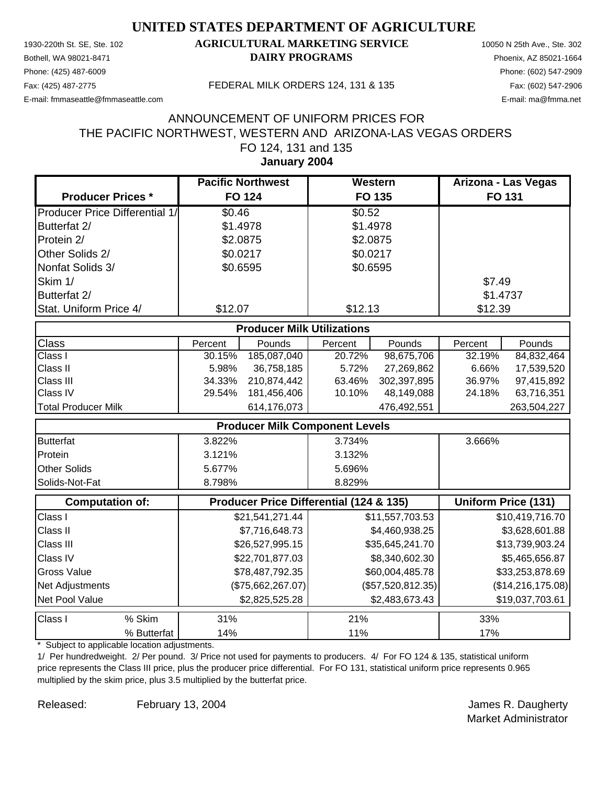Phone: (425) 487-6009 Phone: (602) 547-2909

#### 1930-220th St. SE, Ste. 102 **AGRICULTURAL MARKETING SERVICE** 10050 N 25th Ave., Ste. 302 Bothell, WA 98021-8471 **DAIRY PROGRAMS** Phoenix, AZ 85021-1664

E-mail: fmmaseattle@fmmaseattle.com E-mail: ma@fmma.net

Fax: (425) 487-2775 FEDERAL MILK ORDERS 124, 131 & 135 Fax: (602) 547-2906

#### FO 124, 131 and 135 THE PACIFIC NORTHWEST, WESTERN AND ARIZONA-LAS VEGAS ORDERS ANNOUNCEMENT OF UNIFORM PRICES FOR

**January 2004**

|                                       | <b>Pacific Northwest</b> | Western  | Arizona - Las Vegas |
|---------------------------------------|--------------------------|----------|---------------------|
| <b>Producer Prices *</b>              | <b>FO 124</b>            | FO 135   | <b>FO 131</b>       |
| <b>Producer Price Differential 1/</b> | \$0.46                   | \$0.52   |                     |
| Butterfat 2/                          | \$1.4978                 | \$1.4978 |                     |
| Protein 2/                            | \$2.0875                 | \$2.0875 |                     |
| Other Solids 2/                       | \$0.0217                 | \$0.0217 |                     |
| Nonfat Solids 3/                      | \$0.6595                 | \$0.6595 |                     |
| Skim 1/                               |                          |          | \$7.49              |
| Butterfat 2/                          |                          |          | \$1.4737            |
| Stat. Uniform Price 4/                | \$12.07                  | \$12.13  | \$12.39             |

| <b>Producer Milk Utilizations</b> |         |               |         |               |         |               |  |
|-----------------------------------|---------|---------------|---------|---------------|---------|---------------|--|
| <b>Class</b>                      | Percent | <b>Pounds</b> | Percent | <b>Pounds</b> | Percent | <b>Pounds</b> |  |
| <b>Class I</b>                    | 30.15%  | 185,087,040   | 20.72%  | 98,675,706    | 32.19%  | 84,832,464    |  |
| <b>Class II</b>                   | 5.98%   | 36,758,185    | 5.72%   | 27.269.862    | 6.66%   | 17,539,520    |  |
| <b>Class III</b>                  | 34.33%  | 210.874.442   | 63.46%  | 302.397.895   | 36.97%  | 97.415.892    |  |
| <b>Class IV</b>                   | 29.54%  | 181.456.406   | 10.10%  | 48.149.088    | 24.18%  | 63,716,351    |  |
| <b>Total Producer Milk</b>        |         | 614,176,073   |         | 476,492,551   |         | 263,504,227   |  |

| <b>Producer Milk Component Levels</b> |        |        |        |  |
|---------------------------------------|--------|--------|--------|--|
| Butterfat                             | 3.822% | 3.734% | 3.666% |  |
| Protein                               | 3.121% | 3.132% |        |  |
| <b>Other Solids</b>                   | 5.677% | 5.696% |        |  |
| Solids-Not-Fat                        | 8.798% | 8.829% |        |  |

|                    | <b>Computation of:</b> | Producer Price Differential (124 & 135) |                     | <b>Uniform Price (131)</b> |
|--------------------|------------------------|-----------------------------------------|---------------------|----------------------------|
| Class I            |                        | \$21,541,271.44                         | \$11,557,703.53     | \$10,419,716.70            |
| <b>Class II</b>    |                        | \$7,716,648.73                          | \$4,460,938.25      | \$3,628,601.88             |
| <b>Class III</b>   |                        | \$26,527,995.15                         | \$35,645,241.70     | \$13,739,903.24            |
| <b>Class IV</b>    |                        | \$22,701,877.03                         | \$8,340,602.30      | \$5,465,656.87             |
| <b>Gross Value</b> |                        | \$78,487,792.35                         | \$60,004,485.78     | \$33,253,878.69            |
| Net Adjustments    |                        | (\$75,662,267.07)                       | $(\$57,520,812.35)$ | (\$14,216,175.08)          |
| Net Pool Value     |                        | \$2,825,525.28                          | \$2,483,673.43      | \$19,037,703.61            |
| <b>Class I</b>     | % Skim                 | 31%                                     | 21%                 | 33%                        |
|                    | % Butterfat            | 14%                                     | 11%                 | 17%                        |

\* Subject to applicable location adjustments.

1/ Per hundredweight. 2/ Per pound. 3/ Price not used for payments to producers. 4/ For FO 124 & 135, statistical uniform price represents the Class III price, plus the producer price differential. For FO 131, statistical uniform price represents 0.965 multiplied by the skim price, plus 3.5 multiplied by the butterfat price.

Released: February 13, 2004 Channel Released: All ames R. Daugherty February 13, 2004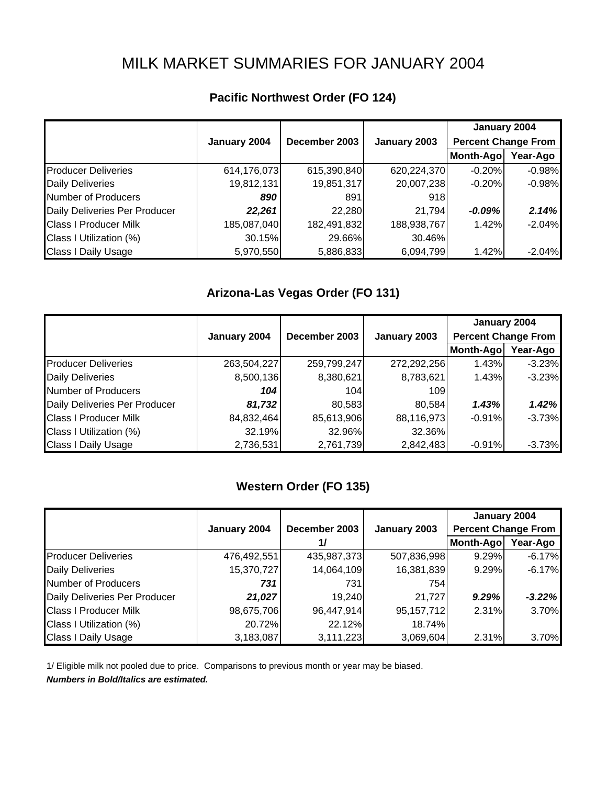# MILK MARKET SUMMARIES FOR JANUARY 2004

|                               |              | December 2003 | January 2003 | January 2004               |          |
|-------------------------------|--------------|---------------|--------------|----------------------------|----------|
|                               | January 2004 |               |              | <b>Percent Change From</b> |          |
|                               |              |               |              | Month-Ago                  | Year-Ago |
| <b>Producer Deliveries</b>    | 614,176,073  | 615,390,840   | 620,224,370  | $-0.20%$                   | $-0.98%$ |
| <b>Daily Deliveries</b>       | 19,812,131   | 19,851,317    | 20,007,238   | $-0.20%$                   | $-0.98%$ |
| Number of Producers           | 890          | 891           | 918          |                            |          |
| Daily Deliveries Per Producer | 22,261       | 22,280        | 21,794       | $-0.09%$                   | 2.14%    |
| <b>Class I Producer Milk</b>  | 185,087,040  | 182,491,832   | 188,938,767  | 1.42%                      | $-2.04%$ |
| Class I Utilization (%)       | 30.15%       | 29.66%        | 30.46%       |                            |          |
| Class I Daily Usage           | 5,970,550    | 5,886,833     | 6,094,799    | 1.42%                      | $-2.04%$ |

# **Pacific Northwest Order (FO 124)**

### **Arizona-Las Vegas Order (FO 131)**

|                               |              |               |              | January 2004               |          |
|-------------------------------|--------------|---------------|--------------|----------------------------|----------|
|                               | January 2004 | December 2003 | January 2003 | <b>Percent Change From</b> |          |
|                               |              |               |              | Month-Ago                  | Year-Ago |
| <b>Producer Deliveries</b>    | 263,504,227  | 259,799,247   | 272,292,256  | 1.43%                      | $-3.23%$ |
| <b>Daily Deliveries</b>       | 8,500,136    | 8,380,621     | 8,783,621    | 1.43%                      | $-3.23%$ |
| Number of Producers           | 104          | 104           | 109I         |                            |          |
| Daily Deliveries Per Producer | 81,732       | 80,583        | 80,584       | 1.43%                      | 1.42%    |
| <b>Class I Producer Milk</b>  | 84,832,464   | 85,613,906    | 88,116,973   | $-0.91%$                   | $-3.73%$ |
| Class I Utilization (%)       | 32.19%       | 32.96%        | 32.36%       |                            |          |
| <b>Class I Daily Usage</b>    | 2,736,531    | 2,761,739     | 2,842,483    | $-0.91%$                   | $-3.73%$ |

## **Western Order (FO 135)**

|                               |              |               |              | January 2004               |          |
|-------------------------------|--------------|---------------|--------------|----------------------------|----------|
|                               | January 2004 | December 2003 | January 2003 | <b>Percent Change From</b> |          |
|                               |              |               |              | Month-Ago                  | Year-Ago |
| <b>Producer Deliveries</b>    | 476,492,551  | 435,987,373   | 507,836,998  | 9.29%                      | $-6.17%$ |
| <b>Daily Deliveries</b>       | 15,370,727   | 14,064,109    | 16,381,839   | 9.29%                      | $-6.17%$ |
| Number of Producers           | 731          | 731           | 754          |                            |          |
| Daily Deliveries Per Producer | 21,027       | 19,240        | 21,727       | 9.29%                      | $-3.22%$ |
| <b>Class I Producer Milk</b>  | 98,675,706   | 96,447,914    | 95, 157, 712 | 2.31%                      | 3.70%    |
| Class I Utilization (%)       | 20.72%       | 22.12%        | 18.74%       |                            |          |
| <b>Class I Daily Usage</b>    | 3,183,087    | 3,111,223     | 3,069,604    | 2.31%                      | 3.70%    |

1/ Eligible milk not pooled due to price. Comparisons to previous month or year may be biased.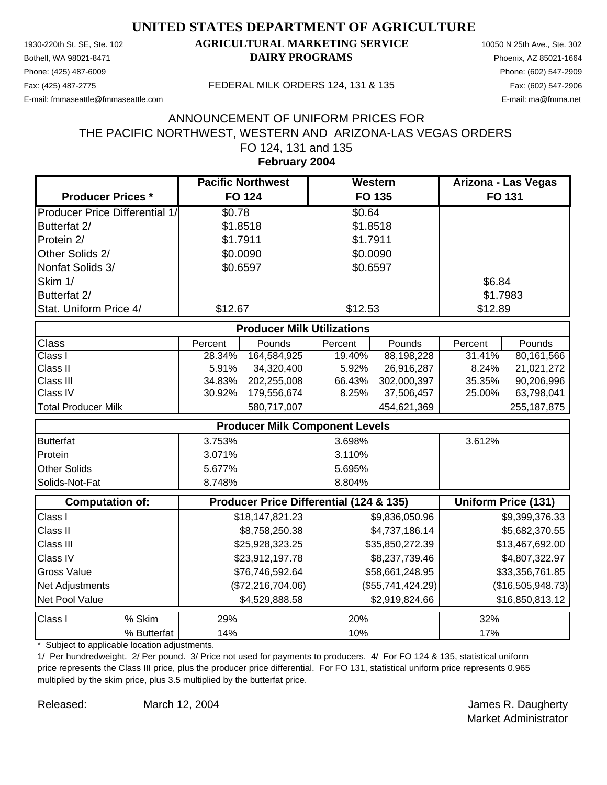Phone: (425) 487-6009 Phone: (602) 547-2909

#### 1930-220th St. SE, Ste. 102 **AGRICULTURAL MARKETING SERVICE** 10050 N 25th Ave., Ste. 302 Bothell, WA 98021-8471 **DAIRY PROGRAMS** Phoenix, AZ 85021-1664

E-mail: fmmaseattle@fmmaseattle.com E-mail: ma@fmma.net

Fax: (425) 487-2775 FEDERAL MILK ORDERS 124, 131 & 135 Fax: (602) 547-2906

#### FO 124, 131 and 135 THE PACIFIC NORTHWEST, WESTERN AND ARIZONA-LAS VEGAS ORDERS ANNOUNCEMENT OF UNIFORM PRICES FOR

**February 2004**

|                                       | <b>Pacific Northwest</b> | Western  | Arizona - Las Vegas |
|---------------------------------------|--------------------------|----------|---------------------|
| <b>Producer Prices *</b>              | <b>FO 124</b>            | FO 135   | <b>FO 131</b>       |
| <b>Producer Price Differential 1/</b> | \$0.78                   | \$0.64   |                     |
| Butterfat 2/                          | \$1.8518                 | \$1.8518 |                     |
| Protein 2/                            | \$1.7911                 | \$1.7911 |                     |
| Other Solids 2/                       | \$0.0090                 | \$0.0090 |                     |
| Nonfat Solids 3/                      | \$0.6597                 | \$0.6597 |                     |
| Skim 1/                               |                          |          | \$6.84              |
| Butterfat 2/                          |                          |          | \$1.7983            |
| Stat. Uniform Price 4/                | \$12.67                  | \$12.53  | \$12.89             |

| <b>Producer Milk Utilizations</b> |         |               |         |             |         |               |  |
|-----------------------------------|---------|---------------|---------|-------------|---------|---------------|--|
| <b>Class</b>                      | Percent | <b>Pounds</b> | Percent | Pounds      | Percent | Pounds        |  |
| <b>Class I</b>                    | 28.34%  | 164.584.925   | 19.40%  | 88,198,228  | 31.41%  | 80.161.566    |  |
| <b>Class II</b>                   | 5.91%   | 34,320,400    | 5.92%   | 26,916,287  | 8.24%   | 21,021,272    |  |
| <b>Class III</b>                  | 34.83%  | 202.255.008   | 66.43%  | 302.000.397 | 35.35%  | 90.206.996    |  |
| <b>Class IV</b>                   | 30.92%  | 179.556.674   | 8.25%   | 37.506.457  | 25.00%  | 63,798,041    |  |
| <b>Total Producer Milk</b>        |         | 580,717,007   |         | 454,621,369 |         | 255, 187, 875 |  |

| <b>Producer Milk Component Levels</b> |        |        |        |  |
|---------------------------------------|--------|--------|--------|--|
| <b>Butterfat</b>                      | 3.753% | 3.698% | 3.612% |  |
| Protein                               | 3.071% | 3.110% |        |  |
| <b>Other Solids</b>                   | 5.677% | 5.695% |        |  |
| <b>ISolids-Not-Fat</b>                | 8.748% | 8.804% |        |  |

|                    | <b>Computation of:</b> | Producer Price Differential (124 & 135)<br><b>Uniform Price (131)</b> |                     |                   |
|--------------------|------------------------|-----------------------------------------------------------------------|---------------------|-------------------|
| Class I            |                        | \$18,147,821.23                                                       | \$9,836,050.96      | \$9,399,376.33    |
| <b>Class II</b>    |                        | \$8,758,250.38                                                        | \$4,737,186.14      | \$5,682,370.55    |
| <b>Class III</b>   |                        | \$25,928,323.25                                                       | \$35,850,272.39     | \$13,467,692.00   |
| <b>Class IV</b>    |                        | \$23,912,197.78                                                       | \$8,237,739.46      | \$4,807,322.97    |
| <b>Gross Value</b> |                        | \$76,746,592.64                                                       | \$58,661,248.95     | \$33,356,761.85   |
| Net Adjustments    |                        | (\$72,216,704.06)                                                     | $(\$55,741,424.29)$ | (\$16,505,948.73) |
| Net Pool Value     |                        | \$4,529,888.58                                                        | \$2,919,824.66      | \$16,850,813.12   |
| <b>Class I</b>     | % Skim                 | <b>29%</b>                                                            | <b>20%</b>          | 32%               |
|                    | % Butterfat            | 14%                                                                   | 10%                 | 17%               |

\* Subject to applicable location adjustments.

1/ Per hundredweight. 2/ Per pound. 3/ Price not used for payments to producers. 4/ For FO 124 & 135, statistical uniform price represents the Class III price, plus the producer price differential. For FO 131, statistical uniform price represents 0.965 multiplied by the skim price, plus 3.5 multiplied by the butterfat price.

March 12, 2004

Released: March 12, 2004 Channel Released: All March 12, 2004 Market Administrator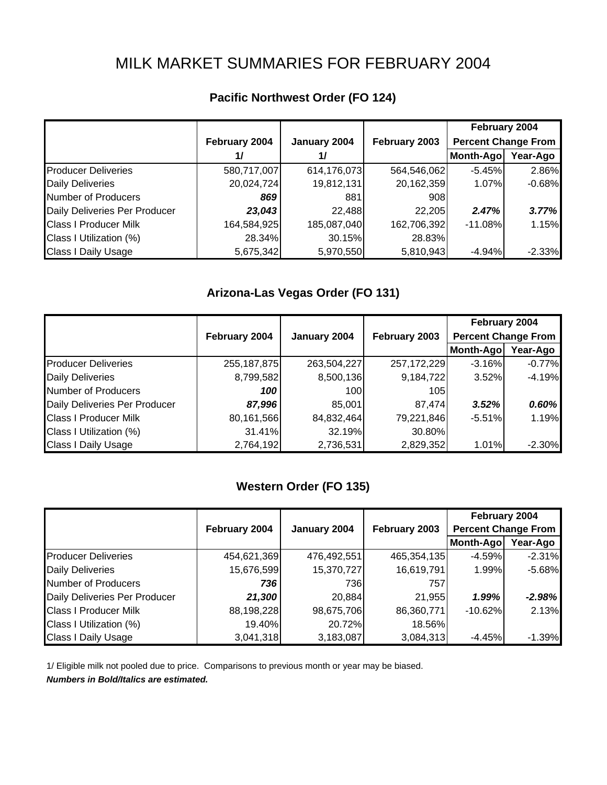# MILK MARKET SUMMARIES FOR FEBRUARY 2004

|                               |                                                |             |                            | February 2004 |          |
|-------------------------------|------------------------------------------------|-------------|----------------------------|---------------|----------|
|                               | February 2004<br>January 2004<br>February 2003 |             | <b>Percent Change From</b> |               |          |
|                               | 17                                             | 1/          |                            | Month-Ago     | Year-Ago |
| <b>Producer Deliveries</b>    | 580,717,007                                    | 614,176,073 | 564,546,062                | $-5.45%$      | 2.86%    |
| <b>Daily Deliveries</b>       | 20,024,724                                     | 19,812,131  | 20,162,359                 | 1.07%         | $-0.68%$ |
| Number of Producers           | 869                                            | 881         | 908                        |               |          |
| Daily Deliveries Per Producer | 23,043                                         | 22,488      | 22,205                     | 2.47%         | 3.77%    |
| <b>Class I Producer Milk</b>  | 164,584,925                                    | 185,087,040 | 162,706,392                | $-11.08%$     | 1.15%    |
| Class I Utilization (%)       | 28.34%                                         | 30.15%      | 28.83%                     |               |          |
| <b>Class I Daily Usage</b>    | 5,675,342                                      | 5,970,550   | 5,810,943                  | $-4.94%$      | $-2.33%$ |

### **Pacific Northwest Order (FO 124)**

## **Arizona-Las Vegas Order (FO 131)**

|                               |               |              |               | February 2004              |          |
|-------------------------------|---------------|--------------|---------------|----------------------------|----------|
|                               | February 2004 | January 2004 | February 2003 | <b>Percent Change From</b> |          |
|                               |               |              |               | Month-Ago                  | Year-Ago |
| <b>Producer Deliveries</b>    | 255, 187, 875 | 263,504,227  | 257, 172, 229 | $-3.16%$                   | $-0.77%$ |
| <b>Daily Deliveries</b>       | 8,799,582     | 8,500,136    | 9,184,722     | 3.52%                      | $-4.19%$ |
| <b>Number of Producers</b>    | 100           | 100          | 105           |                            |          |
| Daily Deliveries Per Producer | 87,996        | 85,001       | 87,474        | 3.52%                      | 0.60%    |
| <b>Class I Producer Milk</b>  | 80,161,566    | 84,832,464   | 79,221,846    | $-5.51%$                   | 1.19%    |
| Class I Utilization (%)       | 31.41%        | 32.19%       | 30.80%        |                            |          |
| <b>Class I Daily Usage</b>    | 2,764,192     | 2,736,531    | 2,829,352     | 1.01%                      | $-2.30%$ |

## **Western Order (FO 135)**

|                               |               |              |               | February 2004              |          |
|-------------------------------|---------------|--------------|---------------|----------------------------|----------|
|                               | February 2004 | January 2004 | February 2003 | <b>Percent Change From</b> |          |
|                               |               |              |               | Month-Ago                  | Year-Ago |
| <b>Producer Deliveries</b>    | 454,621,369   | 476,492,551  | 465,354,135   | $-4.59\%$                  | $-2.31%$ |
| <b>Daily Deliveries</b>       | 15,676,599    | 15,370,727   | 16,619,791    | 1.99%                      | $-5.68%$ |
| Number of Producers           | 736           | 736          | 757           |                            |          |
| Daily Deliveries Per Producer | 21,300        | 20,884       | 21,955        | 1.99%                      | $-2.98%$ |
| <b>Class I Producer Milk</b>  | 88,198,228    | 98,675,706   | 86,360,771    | $-10.62%$                  | 2.13%    |
| Class I Utilization (%)       | 19.40%        | 20.72%       | 18.56%        |                            |          |
| <b>Class I Daily Usage</b>    | 3,041,318     | 3,183,087    | 3,084,313     | $-4.45%$                   | $-1.39%$ |

1/ Eligible milk not pooled due to price. Comparisons to previous month or year may be biased.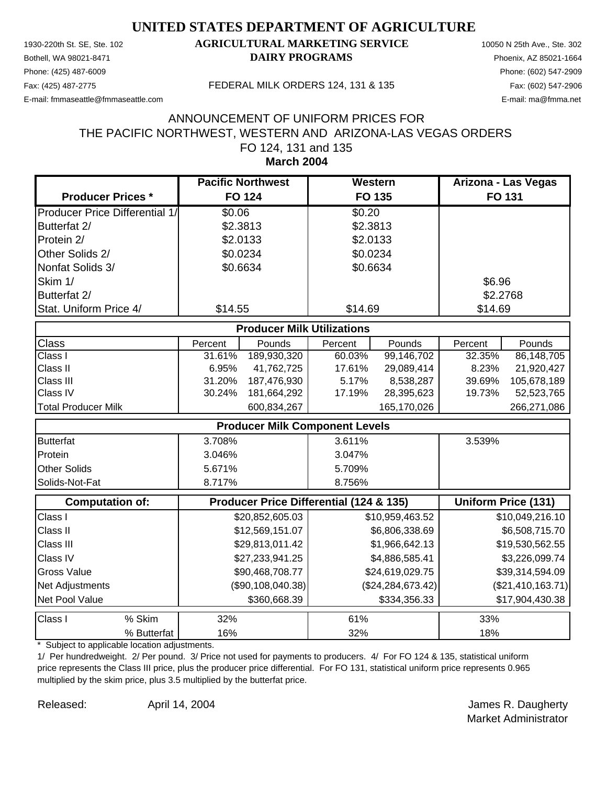Phone: (425) 487-6009 Phone: (602) 547-2909

#### 1930-220th St. SE, Ste. 102 **AGRICULTURAL MARKETING SERVICE** 10050 N 25th Ave., Ste. 302 Bothell, WA 98021-8471 **DAIRY PROGRAMS** Phoenix, AZ 85021-1664

E-mail: fmmaseattle@fmmaseattle.com E-mail: ma@fmma.net

Fax: (425) 487-2775 FEDERAL MILK ORDERS 124, 131 & 135 Fax: (602) 547-2906

#### FO 124, 131 and 135 THE PACIFIC NORTHWEST, WESTERN AND ARIZONA-LAS VEGAS ORDERS ANNOUNCEMENT OF UNIFORM PRICES FOR

**March 2004**

|                                         | <b>Pacific Northwest</b> | Western  | Arizona - Las Vegas |
|-----------------------------------------|--------------------------|----------|---------------------|
| <b>Producer Prices *</b>                | <b>FO 124</b>            | FO 135   | <b>FO 131</b>       |
| <b>IProducer Price Differential 1/1</b> | \$0.06                   | \$0.20   |                     |
| Butterfat 2/                            | \$2.3813                 | \$2.3813 |                     |
| Protein 2/                              | \$2.0133                 | \$2.0133 |                     |
| Other Solids 2/                         | \$0.0234                 | \$0.0234 |                     |
| Nonfat Solids 3/                        | \$0.6634                 | \$0.6634 |                     |
| Skim 1/                                 |                          |          | \$6.96              |
| Butterfat 2/                            |                          |          | \$2.2768            |
| Stat. Uniform Price 4/                  | \$14.55                  | \$14.69  | \$14.69             |

| <b>Producer Milk Utilizations</b> |         |             |         |             |         |             |  |  |
|-----------------------------------|---------|-------------|---------|-------------|---------|-------------|--|--|
| <b>Class</b>                      | Percent | Pounds      | Percent | Pounds      | Percent | Pounds      |  |  |
| <b>Class I</b>                    | 31.61%  | 189.930.320 | 60.03%  | 99,146,702  | 32.35%  | 86,148,705  |  |  |
| <b>Class II</b>                   | 6.95%   | 41,762,725  | 17.61%  | 29,089,414  | 8.23%   | 21.920.427  |  |  |
| <b>Class III</b>                  | 31.20%  | 187,476,930 | 5.17%   | 8,538,287   | 39.69%  | 105,678,189 |  |  |
| <b>Class IV</b>                   | 30.24%  | 181.664.292 | 17.19%  | 28.395.623  | 19.73%  | 52.523.765  |  |  |
| <b>Total Producer Milk</b>        |         | 600,834,267 |         | 165,170,026 |         | 266,271,086 |  |  |

| <b>Producer Milk Component Levels</b> |        |        |        |  |  |
|---------------------------------------|--------|--------|--------|--|--|
| Butterfat                             | 3.708% | 3.611% | 3.539% |  |  |
| Protein                               | 3.046% | 3.047% |        |  |  |
| <b>Other Solids</b>                   | 5.671% | 5.709% |        |  |  |
| <b>Solids-Not-Fat</b>                 | 8.717% | 8.756% |        |  |  |

|                    | <b>Computation of:</b> | Producer Price Differential (124 & 135) | <b>Uniform Price (131)</b> |                   |
|--------------------|------------------------|-----------------------------------------|----------------------------|-------------------|
| Class I            |                        | \$20,852,605.03                         | \$10,959,463.52            | \$10,049,216.10   |
| <b>Class II</b>    |                        | \$12,569,151.07                         | \$6,806,338.69             | \$6,508,715.70    |
| <b>Class III</b>   |                        | \$29,813,011.42                         | \$1,966,642.13             | \$19,530,562.55   |
| <b>Class IV</b>    |                        | \$27,233,941.25                         | \$4,886,585.41             | \$3,226,099.74    |
| <b>Gross Value</b> |                        | \$90,468,708.77                         | \$24,619,029.75            | \$39,314,594.09   |
| Net Adjustments    |                        | (\$90,108,040.38)                       | (\$24, 284, 673.42)        | (\$21,410,163.71) |
| Net Pool Value     |                        | \$360,668.39                            | \$334,356.33               | \$17,904,430.38   |
| <b>Class I</b>     | % Skim                 | 32%                                     | 61%                        | 33%               |
|                    | % Butterfat            | 16%                                     | 32%                        | 18%               |

\* Subject to applicable location adjustments.

1/ Per hundredweight. 2/ Per pound. 3/ Price not used for payments to producers. 4/ For FO 124 & 135, statistical uniform price represents the Class III price, plus the producer price differential. For FO 131, statistical uniform price represents 0.965 multiplied by the skim price, plus 3.5 multiplied by the butterfat price.

April 14, 2004

Released: April 14, 2004 Contract Contract Contract April 14, 2004 Market Administrator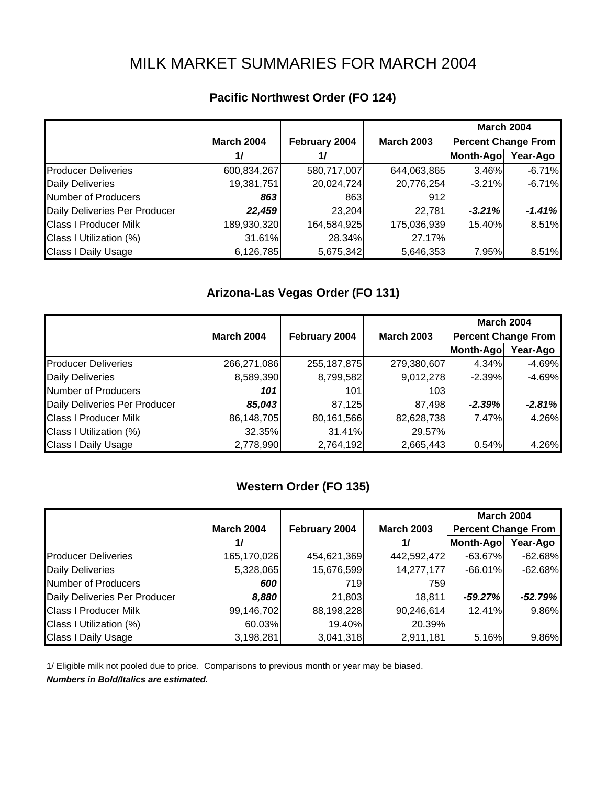# MILK MARKET SUMMARIES FOR MARCH 2004

| <b>Pacific Northwest Order (FO 124)</b> |  |
|-----------------------------------------|--|
|                                         |  |

|                               |                   |               |                   | <b>March 2004</b>          |          |
|-------------------------------|-------------------|---------------|-------------------|----------------------------|----------|
|                               | <b>March 2004</b> | February 2004 | <b>March 2003</b> | <b>Percent Change From</b> |          |
|                               | 1/                | 1/            |                   | Month-Ago                  | Year-Ago |
| <b>Producer Deliveries</b>    | 600,834,267       | 580,717,007   | 644,063,865       | 3.46%                      | $-6.71%$ |
| <b>Daily Deliveries</b>       | 19,381,751        | 20,024,724    | 20,776,254        | $-3.21\%$                  | $-6.71%$ |
| Number of Producers           | 863               | 863           | 912               |                            |          |
| Daily Deliveries Per Producer | 22,459            | 23,204        | 22,781            | $-3.21%$                   | $-1.41%$ |
| <b>Class I Producer Milk</b>  | 189,930,320       | 164,584,925   | 175,036,939       | 15.40%                     | 8.51%    |
| Class I Utilization (%)       | 31.61%            | 28.34%        | 27.17%            |                            |          |
| <b>Class I Daily Usage</b>    | 6,126,785         | 5,675,342     | 5,646,353         | 7.95%                      | 8.51%    |

### **Arizona-Las Vegas Order (FO 131)**

|                               |                   |               |                   | <b>March 2004</b>          |          |
|-------------------------------|-------------------|---------------|-------------------|----------------------------|----------|
|                               | <b>March 2004</b> | February 2004 | <b>March 2003</b> | <b>Percent Change From</b> |          |
|                               |                   |               |                   | Month-Ago                  | Year-Ago |
| <b>Producer Deliveries</b>    | 266,271,086       | 255, 187, 875 | 279,380,607       | 4.34%                      | $-4.69%$ |
| <b>Daily Deliveries</b>       | 8,589,390         | 8,799,582     | 9,012,278         | $-2.39%$                   | $-4.69%$ |
| Number of Producers           | 101               | 101           | 103               |                            |          |
| Daily Deliveries Per Producer | 85,043            | 87,125        | 87,498            | $-2.39%$                   | $-2.81%$ |
| <b>Class I Producer Milk</b>  | 86,148,705        | 80,161,566    | 82,628,738        | 7.47%                      | 4.26%    |
| Class I Utilization (%)       | 32.35%            | 31.41%        | 29.57%            |                            |          |
| <b>Class I Daily Usage</b>    | 2,778,990         | 2,764,192     | 2,665,443         | 0.54%                      | 4.26%    |

## **Western Order (FO 135)**

|                               |                   |               |                   | <b>March 2004</b>          |           |
|-------------------------------|-------------------|---------------|-------------------|----------------------------|-----------|
|                               | <b>March 2004</b> | February 2004 | <b>March 2003</b> | <b>Percent Change From</b> |           |
|                               | $\frac{1}{2}$     |               | $\frac{1}{2}$     | Month-Ago                  | Year-Ago  |
| <b>Producer Deliveries</b>    | 165,170,026       | 454,621,369   | 442,592,472       | $-63.67\%$                 | $-62.68%$ |
| <b>Daily Deliveries</b>       | 5,328,065         | 15,676,599    | 14,277,177        | $-66.01\%$                 | $-62.68%$ |
| Number of Producers           | 600               | 719           | 759               |                            |           |
| Daily Deliveries Per Producer | 8,880             | 21,803        | 18,811            | $-59.27%$                  | $-52.79%$ |
| <b>Class I Producer Milk</b>  | 99,146,702        | 88,198,228    | 90,246,614        | 12.41%                     | 9.86%     |
| Class I Utilization (%)       | 60.03%            | 19.40%        | 20.39%            |                            |           |
| <b>Class I Daily Usage</b>    | 3,198,281         | 3,041,318     | 2,911,181         | 5.16%                      | 9.86%     |

1/ Eligible milk not pooled due to price. Comparisons to previous month or year may be biased.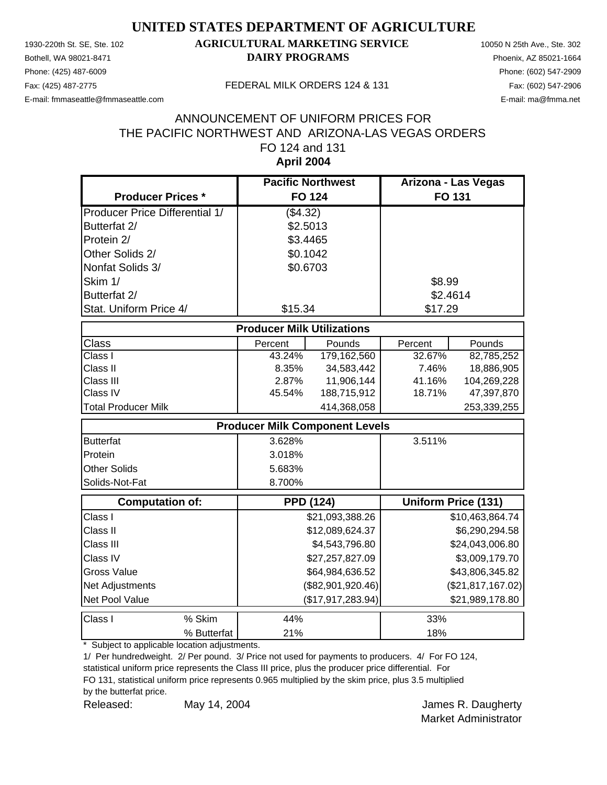Phone: (425) 487-6009 Phone: (602) 547-2909

### 1930-220th St. SE, Ste. 102 **AGRICULTURAL MARKETING SERVICE** 10050 N 25th Ave., Ste. 302 Bothell, WA 98021-8471 **DAIRY PROGRAMS** Phoenix, AZ 85021-1664

E-mail: fmmaseattle@fmmaseattle.com E-mail: ma@fmma.net

#### Fax: (425) 487-2775 FEDERAL MILK ORDERS 124 & 131

#### **April 2004** ANNOUNCEMENT OF UNIFORM PRICES FOR THE PACIFIC NORTHWEST AND ARIZONA-LAS VEGAS ORDERS FO 124 and 131

|                                       | <b>Pacific Northwest</b>          |                                       | Arizona - Las Vegas |                            |  |  |  |
|---------------------------------------|-----------------------------------|---------------------------------------|---------------------|----------------------------|--|--|--|
| <b>Producer Prices *</b>              |                                   | <b>FO 124</b>                         |                     | FO 131                     |  |  |  |
| <b>Producer Price Differential 1/</b> | (\$4.32)                          |                                       |                     |                            |  |  |  |
| Butterfat 2/                          | \$2.5013                          |                                       |                     |                            |  |  |  |
| Protein 2/                            | \$3.4465                          |                                       |                     |                            |  |  |  |
| Other Solids 2/                       | \$0.1042                          |                                       |                     |                            |  |  |  |
| Nonfat Solids 3/                      | \$0.6703                          |                                       |                     |                            |  |  |  |
| Skim 1/                               |                                   |                                       | \$8.99              |                            |  |  |  |
| Butterfat 2/                          |                                   |                                       | \$2.4614            |                            |  |  |  |
| Stat. Uniform Price 4/                | \$15.34                           |                                       | \$17.29             |                            |  |  |  |
|                                       | <b>Producer Milk Utilizations</b> |                                       |                     |                            |  |  |  |
| Class                                 | Percent                           | Pounds                                | Percent             | Pounds                     |  |  |  |
| Class I                               | 43.24%                            | 179, 162, 560                         | 32.67%              | 82,785,252                 |  |  |  |
| Class II                              | 8.35%                             | 34,583,442                            | 7.46%               | 18,886,905                 |  |  |  |
| Class III                             | 2.87%                             | 11,906,144                            | 41.16%              | 104,269,228                |  |  |  |
| Class IV                              | 45.54%                            | 188,715,912                           | 18.71%              | 47,397,870                 |  |  |  |
| <b>Total Producer Milk</b>            |                                   | 414,368,058                           |                     | 253,339,255                |  |  |  |
|                                       |                                   | <b>Producer Milk Component Levels</b> |                     |                            |  |  |  |
| <b>Butterfat</b>                      | 3.628%                            |                                       | 3.511%              |                            |  |  |  |
| Protein                               | 3.018%                            |                                       |                     |                            |  |  |  |
| <b>Other Solids</b>                   | 5.683%                            |                                       |                     |                            |  |  |  |
| Solids-Not-Fat                        | 8.700%                            |                                       |                     |                            |  |  |  |
| <b>Computation of:</b>                |                                   | <b>PPD (124)</b>                      |                     | <b>Uniform Price (131)</b> |  |  |  |
| Class I                               |                                   | \$21,093,388.26                       |                     | \$10,463,864.74            |  |  |  |
| Class II                              |                                   | \$12,089,624.37                       |                     | \$6,290,294.58             |  |  |  |
| Class III                             |                                   | \$4,543,796.80                        |                     | \$24,043,006.80            |  |  |  |
| Class IV                              |                                   | \$27,257,827.09                       |                     | \$3,009,179.70             |  |  |  |
| <b>Gross Value</b>                    |                                   | \$64,984,636.52                       |                     | \$43,806,345.82            |  |  |  |
| Net Adjustments                       |                                   | (\$82,901,920.46)                     |                     | (\$21,817,167.02)          |  |  |  |
| Net Pool Value                        |                                   | (\$17,917,283.94)                     |                     | \$21,989,178.80            |  |  |  |
| Class I<br>% Skim                     | 44%                               |                                       | 33%                 |                            |  |  |  |
| % Butterfat                           | 21%                               |                                       | 18%                 |                            |  |  |  |

\* Subject to applicable location adjustments.

1/ Per hundredweight. 2/ Per pound. 3/ Price not used for payments to producers. 4/ For FO 124, statistical uniform price represents the Class III price, plus the producer price differential. For

FO 131, statistical uniform price represents 0.965 multiplied by the skim price, plus 3.5 multiplied

by the butterfat price.

Released: May 14, 2004 Charles R. Daugherty May 14, 2004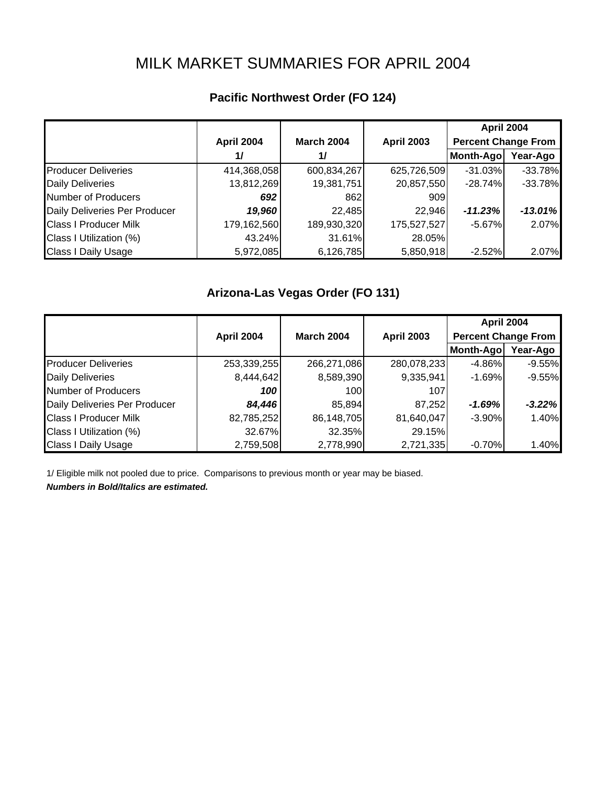# MILK MARKET SUMMARIES FOR APRIL 2004

## **Pacific Northwest Order (FO 124)**

|                               |             |                   |                   | <b>April 2004</b>          |           |
|-------------------------------|-------------|-------------------|-------------------|----------------------------|-----------|
|                               | April 2004  | <b>March 2004</b> | <b>April 2003</b> | <b>Percent Change From</b> |           |
|                               | 1/          | 11                |                   | Month-Ago                  | Year-Ago  |
| <b>Producer Deliveries</b>    | 414,368,058 | 600,834,267       | 625,726,509       | $-31.03%$                  | $-33.78%$ |
| <b>Daily Deliveries</b>       | 13,812,269  | 19,381,751        | 20,857,550        | $-28.74%$                  | $-33.78%$ |
| Number of Producers           | 692         | 862               | 909               |                            |           |
| Daily Deliveries Per Producer | 19,960      | 22,485            | 22,946            | $-11.23%$                  | $-13.01%$ |
| <b>Class I Producer Milk</b>  | 179,162,560 | 189,930,320       | 175,527,527       | $-5.67%$                   | 2.07%     |
| Class I Utilization (%)       | 43.24%      | 31.61%            | 28.05%            |                            |           |
| <b>Class I Daily Usage</b>    | 5,972,085   | 6,126,785         | 5,850,918         | $-2.52%$                   | 2.07%     |

#### **Arizona-Las Vegas Order (FO 131)**

|                               |                   |                   |                   | April 2004                 |          |  |
|-------------------------------|-------------------|-------------------|-------------------|----------------------------|----------|--|
|                               | <b>April 2004</b> | <b>March 2004</b> | <b>April 2003</b> | <b>Percent Change From</b> |          |  |
|                               |                   |                   |                   | Month-Ago                  | Year-Ago |  |
| <b>Producer Deliveries</b>    | 253,339,255       | 266,271,086       | 280,078,233       | $-4.86\%$                  | $-9.55%$ |  |
| <b>Daily Deliveries</b>       | 8,444,642         | 8,589,390         | 9,335,941         | $-1.69%$                   | $-9.55%$ |  |
| Number of Producers           | 100               | 100               | 107               |                            |          |  |
| Daily Deliveries Per Producer | 84,446            | 85,894            | 87,252            | $-1.69%$                   | $-3.22%$ |  |
| <b>Class I Producer Milk</b>  | 82,785,252        | 86,148,705        | 81,640,047        | $-3.90\%$                  | 1.40%    |  |
| Class I Utilization (%)       | 32.67%            | 32.35%            | 29.15%            |                            |          |  |
| <b>Class I Daily Usage</b>    | 2,759,508         | 2,778,990         | 2,721,335         | $-0.70%$                   | 1.40%    |  |

1/ Eligible milk not pooled due to price. Comparisons to previous month or year may be biased.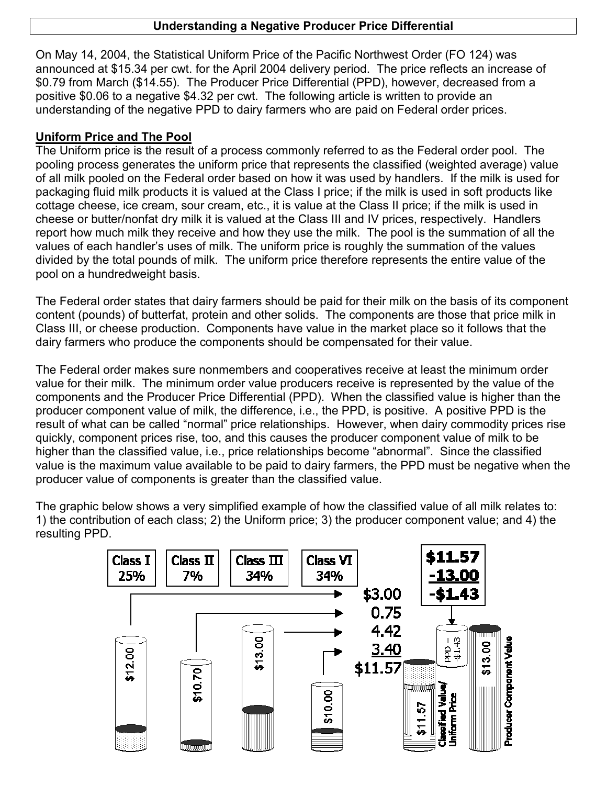#### **Understanding a Negative Producer Price Differential**

On May 14, 2004, the Statistical Uniform Price of the Pacific Northwest Order (FO 124) was announced at \$15.34 per cwt. for the April 2004 delivery period. The price reflects an increase of \$0.79 from March (\$14.55). The Producer Price Differential (PPD), however, decreased from a positive \$0.06 to a negative \$4.32 per cwt. The following article is written to provide an understanding of the negative PPD to dairy farmers who are paid on Federal order prices.

#### **Uniform Price and The Pool**

The Uniform price is the result of a process commonly referred to as the Federal order pool. The pooling process generates the uniform price that represents the classified (weighted average) value of all milk pooled on the Federal order based on how it was used by handlers. If the milk is used for packaging fluid milk products it is valued at the Class I price; if the milk is used in soft products like cottage cheese, ice cream, sour cream, etc., it is value at the Class II price; if the milk is used in cheese or butter/nonfat dry milk it is valued at the Class III and IV prices, respectively. Handlers report how much milk they receive and how they use the milk. The pool is the summation of all the values of each handler's uses of milk. The uniform price is roughly the summation of the values divided by the total pounds of milk. The uniform price therefore represents the entire value of the pool on a hundredweight basis.

The Federal order states that dairy farmers should be paid for their milk on the basis of its component content (pounds) of butterfat, protein and other solids. The components are those that price milk in Class III, or cheese production. Components have value in the market place so it follows that the dairy farmers who produce the components should be compensated for their value.

The Federal order makes sure nonmembers and cooperatives receive at least the minimum order value for their milk. The minimum order value producers receive is represented by the value of the components and the Producer Price Differential (PPD). When the classified value is higher than the producer component value of milk, the difference, i.e., the PPD, is positive. A positive PPD is the result of what can be called "normal" price relationships. However, when dairy commodity prices rise quickly, component prices rise, too, and this causes the producer component value of milk to be higher than the classified value, i.e., price relationships become "abnormal". Since the classified value is the maximum value available to be paid to dairy farmers, the PPD must be negative when the producer value of components is greater than the classified value.

The graphic below shows a very simplified example of how the classified value of all milk relates to: 1) the contribution of each class; 2) the Uniform price; 3) the producer component value; and 4) the resulting PPD.

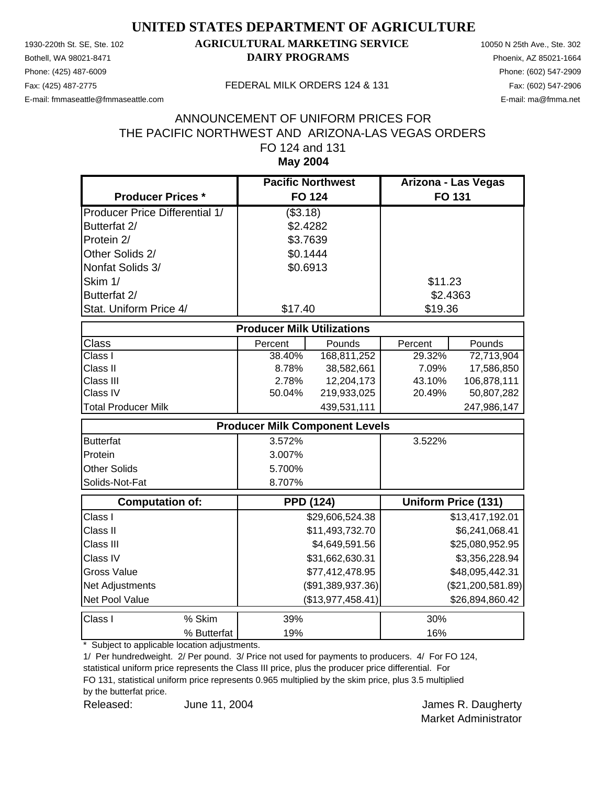Phone: (425) 487-6009 Phone: (602) 547-2909

### 1930-220th St. SE, Ste. 102 **AGRICULTURAL MARKETING SERVICE** 10050 N 25th Ave., Ste. 302 Bothell, WA 98021-8471 **DAIRY PROGRAMS** Phoenix, AZ 85021-1664

E-mail: fmmaseattle@fmmaseattle.com E-mail: ma@fmma.net

#### Fax: (425) 487-2775 FEDERAL MILK ORDERS 124 & 131

#### **May 2004** ANNOUNCEMENT OF UNIFORM PRICES FOR THE PACIFIC NORTHWEST AND ARIZONA-LAS VEGAS ORDERS FO 124 and 131

|                                       | <b>Pacific Northwest</b>          |                                       | Arizona - Las Vegas |                            |
|---------------------------------------|-----------------------------------|---------------------------------------|---------------------|----------------------------|
| <b>Producer Prices *</b>              |                                   | <b>FO 124</b>                         |                     | FO 131                     |
| <b>Producer Price Differential 1/</b> | (\$3.18)                          |                                       |                     |                            |
| Butterfat 2/                          |                                   | \$2.4282                              |                     |                            |
| Protein 2/                            |                                   | \$3.7639                              |                     |                            |
| Other Solids 2/                       |                                   | \$0.1444                              |                     |                            |
| Nonfat Solids 3/                      |                                   | \$0.6913                              |                     |                            |
| Skim 1/                               |                                   |                                       | \$11.23             |                            |
| Butterfat 2/                          |                                   |                                       |                     | \$2.4363                   |
| Stat. Uniform Price 4/                | \$17.40                           |                                       | \$19.36             |                            |
|                                       | <b>Producer Milk Utilizations</b> |                                       |                     |                            |
| <b>Class</b>                          | Percent                           | Pounds                                | Percent             | Pounds                     |
| $\overline{\text{Class}}$ I           | 38.40%                            | 168,811,252                           | 29.32%              | 72,713,904                 |
| Class II                              | 8.78%                             | 38,582,661                            | 7.09%               | 17,586,850                 |
| Class III                             | 2.78%                             | 12,204,173                            | 43.10%              | 106,878,111                |
| Class IV                              | 50.04%                            | 219,933,025                           | 20.49%              | 50,807,282                 |
| <b>Total Producer Milk</b>            |                                   | 439,531,111                           |                     | 247,986,147                |
|                                       |                                   | <b>Producer Milk Component Levels</b> |                     |                            |
| Butterfat                             | 3.572%                            |                                       | 3.522%              |                            |
| Protein                               | 3.007%                            |                                       |                     |                            |
| <b>Other Solids</b>                   | 5.700%                            |                                       |                     |                            |
| Solids-Not-Fat                        | 8.707%                            |                                       |                     |                            |
| <b>Computation of:</b>                |                                   | <b>PPD (124)</b>                      |                     | <b>Uniform Price (131)</b> |
| Class I                               |                                   | \$29,606,524.38                       |                     | \$13,417,192.01            |
| Class II                              |                                   | \$11,493,732.70                       |                     | \$6,241,068.41             |
| Class III                             |                                   | \$4,649,591.56                        |                     | \$25,080,952.95            |
| Class IV                              |                                   | \$31,662,630.31                       |                     | \$3,356,228.94             |
| <b>Gross Value</b>                    |                                   | \$77,412,478.95                       |                     | \$48,095,442.31            |
| Net Adjustments                       |                                   | (\$91,389,937.36)                     |                     | (\$21,200,581.89)          |
| Net Pool Value                        |                                   | (\$13,977,458.41)                     |                     | \$26,894,860.42            |
| Class I<br>% Skim                     | 39%                               |                                       | 30%                 |                            |
| % Butterfat                           | 19%                               |                                       | 16%                 |                            |

\* Subject to applicable location adjustments.

1/ Per hundredweight. 2/ Per pound. 3/ Price not used for payments to producers. 4/ For FO 124, statistical uniform price represents the Class III price, plus the producer price differential. For

FO 131, statistical uniform price represents 0.965 multiplied by the skim price, plus 3.5 multiplied

by the butterfat price.

Released: June 11, 2004 Charles R. Daugherty June 11, 2004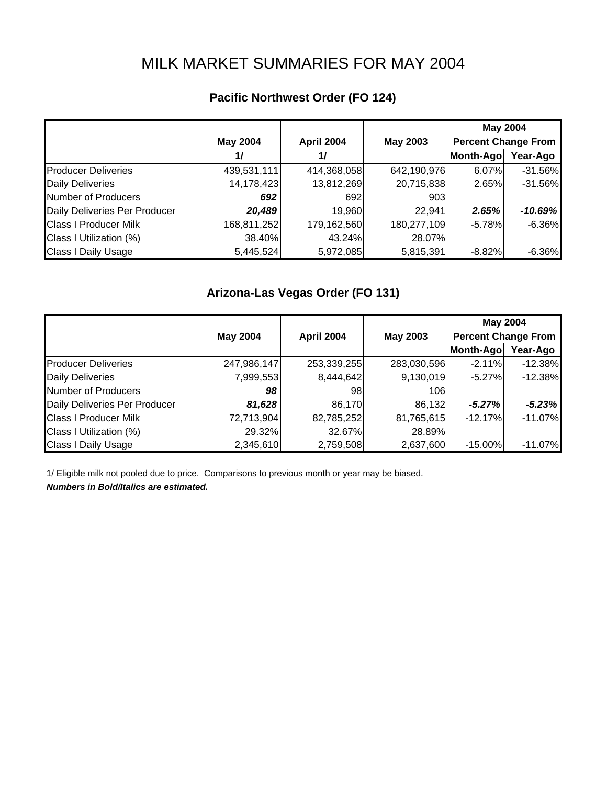# MILK MARKET SUMMARIES FOR MAY 2004

## **Pacific Northwest Order (FO 124)**

|                               |                 |             |                 |                            | <b>May 2004</b> |  |
|-------------------------------|-----------------|-------------|-----------------|----------------------------|-----------------|--|
|                               | <b>May 2004</b> | April 2004  | <b>May 2003</b> | <b>Percent Change From</b> |                 |  |
|                               | 1/              | 1/          |                 | Month-Ago                  | Year-Ago        |  |
| <b>Producer Deliveries</b>    | 439,531,111     | 414,368,058 | 642,190,976     | 6.07%                      | $-31.56%$       |  |
| <b>Daily Deliveries</b>       | 14,178,423      | 13,812,269  | 20,715,838      | 2.65%                      | $-31.56%$       |  |
| <b>Number of Producers</b>    | 692             | 692         | 903             |                            |                 |  |
| Daily Deliveries Per Producer | 20,489          | 19,960      | 22,941          | 2.65%                      | $-10.69%$       |  |
| <b>Class I Producer Milk</b>  | 168,811,252     | 179,162,560 | 180,277,109     | $-5.78%$                   | $-6.36%$        |  |
| Class I Utilization (%)       | 38.40%          | 43.24%      | 28.07%          |                            |                 |  |
| <b>Class I Daily Usage</b>    | 5,445,524       | 5,972,085   | 5,815,391       | $-8.82%$                   | $-6.36%$        |  |

#### **Arizona-Las Vegas Order (FO 131)**

|                               |                 |             |                 | <b>May 2004</b>            |           |  |
|-------------------------------|-----------------|-------------|-----------------|----------------------------|-----------|--|
|                               | <b>May 2004</b> | April 2004  | <b>May 2003</b> | <b>Percent Change From</b> |           |  |
|                               |                 |             |                 | Month-Ago                  | Year-Ago  |  |
| <b>Producer Deliveries</b>    | 247,986,147     | 253,339,255 | 283,030,596     | $-2.11%$                   | $-12.38%$ |  |
| <b>Daily Deliveries</b>       | 7,999,553       | 8,444,642   | 9,130,019       | $-5.27\%$                  | $-12.38%$ |  |
| Number of Producers           | 98              | 981         | 106             |                            |           |  |
| Daily Deliveries Per Producer | 81,628          | 86,170      | 86,132          | $-5.27%$                   | $-5.23%$  |  |
| <b>Class I Producer Milk</b>  | 72,713,904      | 82,785,252  | 81,765,615      | $-12.17%$                  | $-11.07%$ |  |
| Class I Utilization (%)       | 29.32%          | 32.67%      | 28.89%          |                            |           |  |
| <b>Class I Daily Usage</b>    | 2,345,610       | 2,759,508   | 2,637,600       | $-15.00\%$                 | $-11.07%$ |  |

1/ Eligible milk not pooled due to price. Comparisons to previous month or year may be biased.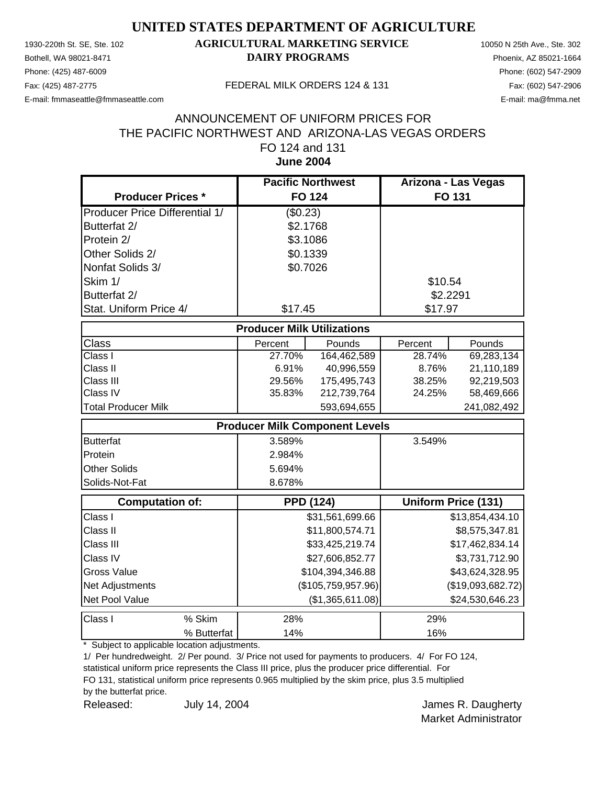Phone: (425) 487-6009 Phone: (602) 547-2909

### 1930-220th St. SE, Ste. 102 **AGRICULTURAL MARKETING SERVICE** 10050 N 25th Ave., Ste. 302 Bothell, WA 98021-8471 **DAIRY PROGRAMS** Phoenix, AZ 85021-1664

E-mail: fmmaseattle@fmmaseattle.com E-mail: ma@fmma.net

#### Fax: (425) 487-2775 FEDERAL MILK ORDERS 124 & 131

#### **June 2004** ANNOUNCEMENT OF UNIFORM PRICES FOR THE PACIFIC NORTHWEST AND ARIZONA-LAS VEGAS ORDERS FO 124 and 131

|                                       | <b>Pacific Northwest</b>          |                                       | Arizona - Las Vegas |                     |
|---------------------------------------|-----------------------------------|---------------------------------------|---------------------|---------------------|
| <b>Producer Prices *</b>              | <b>FO 124</b>                     |                                       |                     | <b>FO 131</b>       |
| <b>Producer Price Differential 1/</b> | (\$0.23)                          |                                       |                     |                     |
| Butterfat 2/                          |                                   | \$2.1768                              |                     |                     |
| Protein 2/                            |                                   | \$3.1086                              |                     |                     |
| Other Solids 2/                       |                                   | \$0.1339                              |                     |                     |
| Nonfat Solids 3/                      |                                   | \$0.7026                              |                     |                     |
| Skim 1/                               |                                   |                                       | \$10.54             |                     |
| Butterfat 2/                          |                                   |                                       | \$2.2291            |                     |
| Stat. Uniform Price 4/                | \$17.45                           |                                       | \$17.97             |                     |
|                                       | <b>Producer Milk Utilizations</b> |                                       |                     |                     |
| Class                                 | Percent                           | Pounds                                | Percent             | Pounds              |
| Class I                               | 27.70%                            | 164,462,589                           | 28.74%              | 69,283,134          |
| Class II                              | 6.91%                             | 40,996,559                            | 8.76%               | 21,110,189          |
| Class III                             | 29.56%                            | 175,495,743                           | 38.25%              | 92,219,503          |
| Class IV                              | 35.83%                            | 212,739,764                           | 24.25%              | 58,469,666          |
| <b>Total Producer Milk</b>            |                                   | 593,694,655                           |                     | 241,082,492         |
|                                       |                                   | <b>Producer Milk Component Levels</b> |                     |                     |
| <b>Butterfat</b>                      | 3.589%                            |                                       | 3.549%              |                     |
| Protein                               | 2.984%                            |                                       |                     |                     |
| <b>Other Solids</b>                   | 5.694%                            |                                       |                     |                     |
| Solids-Not-Fat                        | 8.678%                            |                                       |                     |                     |
| <b>Computation of:</b>                |                                   | <b>PPD (124)</b>                      |                     | Uniform Price (131) |
| Class I                               |                                   | \$31,561,699.66                       |                     | \$13,854,434.10     |
| Class II                              |                                   | \$11,800,574.71                       |                     | \$8,575,347.81      |
| Class III                             |                                   | \$33,425,219.74                       |                     | \$17,462,834.14     |
| Class IV                              |                                   | \$27,606,852.77                       |                     | \$3,731,712.90      |
| <b>Gross Value</b>                    |                                   | \$104,394,346.88                      |                     | \$43,624,328.95     |
| Net Adjustments                       |                                   | (\$105,759,957.96)                    |                     | (\$19,093,682.72)   |
| Net Pool Value                        |                                   | (\$1,365,611.08)                      |                     | \$24,530,646.23     |
| Class I<br>% Skim                     | 28%                               |                                       | 29%                 |                     |
| % Butterfat                           | 14%                               |                                       | 16%                 |                     |

\* Subject to applicable location adjustments.

1/ Per hundredweight. 2/ Per pound. 3/ Price not used for payments to producers. 4/ For FO 124, statistical uniform price represents the Class III price, plus the producer price differential. For

FO 131, statistical uniform price represents 0.965 multiplied by the skim price, plus 3.5 multiplied

by the butterfat price.

Released: July 14, 2004 **Container Search Assembly 14, 2004** Contains a structure of the United Structure R. Daugherty July 14, 2004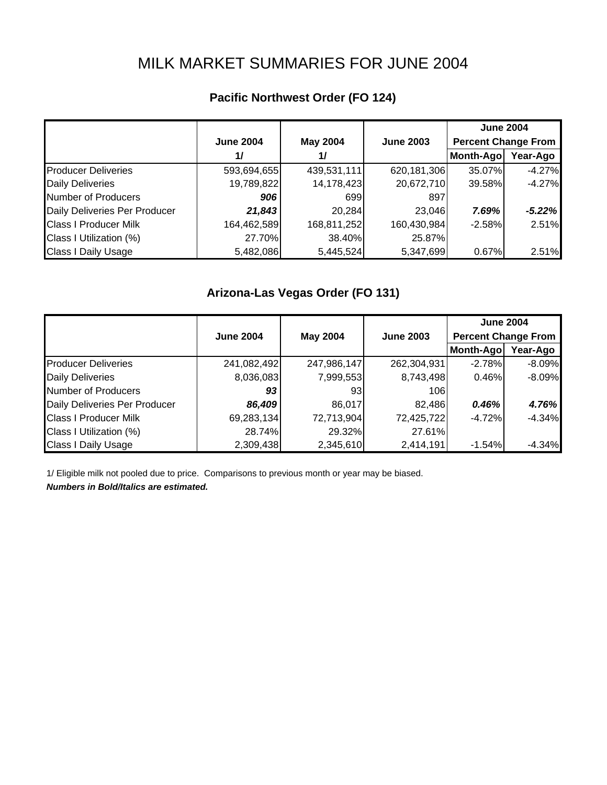# MILK MARKET SUMMARIES FOR JUNE 2004

## **Pacific Northwest Order (FO 124)**

|                               |                  |                 |                  |                            | <b>June 2004</b> |  |
|-------------------------------|------------------|-----------------|------------------|----------------------------|------------------|--|
|                               | <b>June 2004</b> | <b>May 2004</b> | <b>June 2003</b> | <b>Percent Change From</b> |                  |  |
|                               | 1/               | 1/              |                  | Month-Ago                  | Year-Ago         |  |
| <b>Producer Deliveries</b>    | 593,694,655      | 439,531,111     | 620,181,306      | 35.07%                     | $-4.27%$         |  |
| <b>Daily Deliveries</b>       | 19,789,822       | 14,178,423      | 20,672,710       | 39.58%                     | $-4.27%$         |  |
| Number of Producers           | 906              | 699             | 897              |                            |                  |  |
| Daily Deliveries Per Producer | 21,843           | 20,284          | 23,046           | 7.69%                      | $-5.22%$         |  |
| <b>Class I Producer Milk</b>  | 164,462,589      | 168,811,252     | 160,430,984      | $-2.58%$                   | 2.51%            |  |
| Class I Utilization (%)       | 27.70%           | 38.40%          | 25.87%           |                            |                  |  |
| <b>Class I Daily Usage</b>    | 5,482,086        | 5,445,524       | 5,347,699        | 0.67%                      | 2.51%            |  |

#### **Arizona-Las Vegas Order (FO 131)**

|                               |                  |                 |                  | <b>June 2004</b>           |          |  |
|-------------------------------|------------------|-----------------|------------------|----------------------------|----------|--|
|                               | <b>June 2004</b> | <b>May 2004</b> | <b>June 2003</b> | <b>Percent Change From</b> |          |  |
|                               |                  |                 |                  | Month-Ago                  | Year-Ago |  |
| <b>Producer Deliveries</b>    | 241,082,492      | 247,986,147     | 262,304,931      | $-2.78%$                   | $-8.09%$ |  |
| <b>Daily Deliveries</b>       | 8,036,083        | 7,999,553       | 8,743,498        | 0.46%                      | $-8.09%$ |  |
| Number of Producers           | 93               | 931             | 106              |                            |          |  |
| Daily Deliveries Per Producer | 86,409           | 86,017          | 82,486           | 0.46%                      | 4.76%    |  |
| <b>Class I Producer Milk</b>  | 69,283,134       | 72,713,904      | 72,425,722       | $-4.72%$                   | $-4.34%$ |  |
| Class I Utilization (%)       | 28.74%           | 29.32%          | 27.61%           |                            |          |  |
| <b>Class I Daily Usage</b>    | 2,309,438        | 2,345,610       | 2,414,191        | $-1.54%$                   | $-4.34%$ |  |

1/ Eligible milk not pooled due to price. Comparisons to previous month or year may be biased.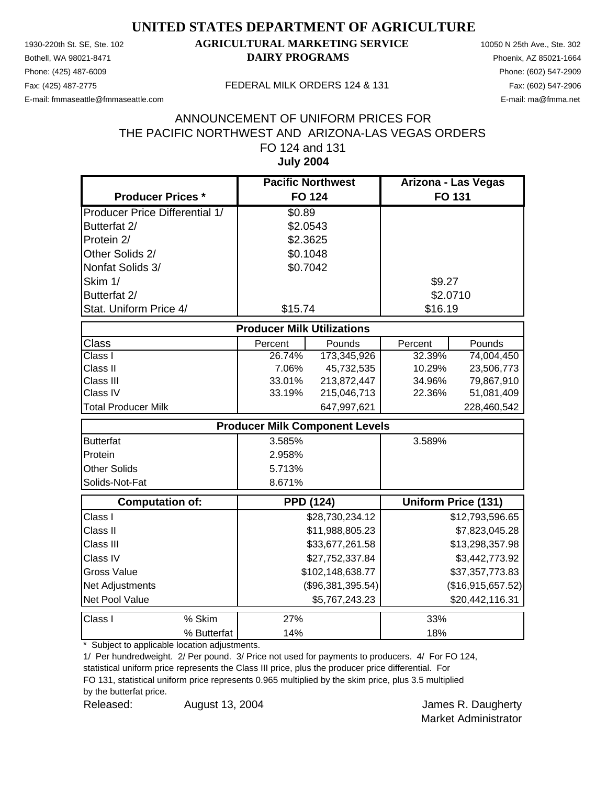Phone: (425) 487-6009 Phone: (602) 547-2909

### 1930-220th St. SE, Ste. 102 **AGRICULTURAL MARKETING SERVICE** 10050 N 25th Ave., Ste. 302 Bothell, WA 98021-8471 **DAIRY PROGRAMS** Phoenix, AZ 85021-1664

E-mail: fmmaseattle@fmmaseattle.com E-mail: ma@fmma.net

#### Fax: (425) 487-2775 FEDERAL MILK ORDERS 124 & 131

#### **July 2004** ANNOUNCEMENT OF UNIFORM PRICES FOR THE PACIFIC NORTHWEST AND ARIZONA-LAS VEGAS ORDERS FO 124 and 131

|                                       | <b>Pacific Northwest</b> |                                       | Arizona - Las Vegas |                            |  |  |
|---------------------------------------|--------------------------|---------------------------------------|---------------------|----------------------------|--|--|
| <b>Producer Prices *</b>              |                          | <b>FO 124</b>                         | FO 131              |                            |  |  |
| <b>Producer Price Differential 1/</b> | \$0.89                   |                                       |                     |                            |  |  |
| Butterfat 2/                          | \$2.0543                 |                                       |                     |                            |  |  |
| Protein 2/                            | \$2.3625                 |                                       |                     |                            |  |  |
| Other Solids 2/                       | \$0.1048                 |                                       |                     |                            |  |  |
| Nonfat Solids 3/                      | \$0.7042                 |                                       |                     |                            |  |  |
| Skim 1/                               |                          |                                       | \$9.27              |                            |  |  |
| Butterfat 2/                          |                          |                                       |                     | \$2.0710                   |  |  |
| Stat. Uniform Price 4/                | \$15.74                  |                                       | \$16.19             |                            |  |  |
| <b>Producer Milk Utilizations</b>     |                          |                                       |                     |                            |  |  |
| <b>Class</b>                          | Percent                  | Pounds                                | Percent             | Pounds                     |  |  |
| Class I                               | 26.74%                   | 173,345,926                           | 32.39%              | 74,004,450                 |  |  |
| Class II                              | 7.06%                    | 45,732,535                            | 10.29%              | 23,506,773                 |  |  |
| Class III                             | 33.01%                   | 213,872,447                           | 34.96%              | 79,867,910                 |  |  |
| Class IV                              | 33.19%                   | 215,046,713                           | 22.36%              | 51,081,409                 |  |  |
| <b>Total Producer Milk</b>            |                          | 647,997,621                           |                     | 228,460,542                |  |  |
|                                       |                          | <b>Producer Milk Component Levels</b> |                     |                            |  |  |
| <b>Butterfat</b>                      | 3.585%                   |                                       | 3.589%              |                            |  |  |
| Protein                               | 2.958%                   |                                       |                     |                            |  |  |
| <b>Other Solids</b>                   | 5.713%                   |                                       |                     |                            |  |  |
| Solids-Not-Fat                        | 8.671%                   |                                       |                     |                            |  |  |
| <b>Computation of:</b>                |                          | <b>PPD (124)</b>                      |                     | <b>Uniform Price (131)</b> |  |  |
| Class I                               |                          | \$28,730,234.12                       |                     | \$12,793,596.65            |  |  |
| Class II                              |                          | \$11,988,805.23                       |                     | \$7,823,045.28             |  |  |
| Class III                             |                          | \$33,677,261.58                       |                     | \$13,298,357.98            |  |  |
| Class IV                              |                          | \$27,752,337.84                       |                     | \$3,442,773.92             |  |  |
| <b>Gross Value</b>                    |                          | \$102,148,638.77                      |                     | \$37,357,773.83            |  |  |
| Net Adjustments                       |                          | (\$96,381,395.54)                     |                     | (\$16,915,657.52)          |  |  |
| Net Pool Value                        |                          | \$5,767,243.23                        |                     | \$20,442,116.31            |  |  |
| Class I<br>% Skim                     | 27%                      |                                       | 33%                 |                            |  |  |
| % Butterfat                           | 14%                      |                                       | 18%                 |                            |  |  |

\* Subject to applicable location adjustments.

1/ Per hundredweight. 2/ Per pound. 3/ Price not used for payments to producers. 4/ For FO 124, statistical uniform price represents the Class III price, plus the producer price differential. For

FO 131, statistical uniform price represents 0.965 multiplied by the skim price, plus 3.5 multiplied

by the butterfat price.

Released: August 13, 2004 Charles R. Daugherty August 13, 2004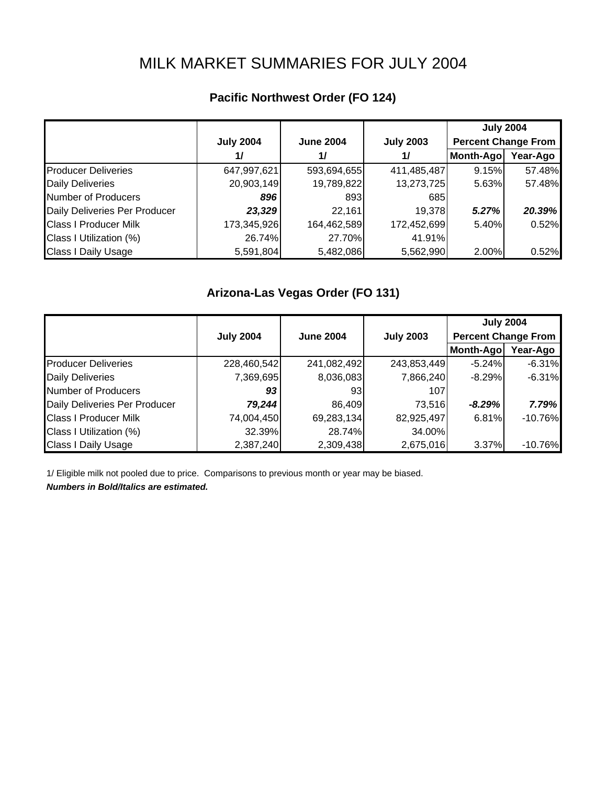# MILK MARKET SUMMARIES FOR JULY 2004

|  | Pacific Northwest Order (FO 124) |  |  |  |
|--|----------------------------------|--|--|--|
|--|----------------------------------|--|--|--|

|                               |                  |                  |                  | <b>July 2004</b>           |          |
|-------------------------------|------------------|------------------|------------------|----------------------------|----------|
|                               | <b>July 2004</b> | <b>June 2004</b> | <b>July 2003</b> | <b>Percent Change From</b> |          |
|                               | 1/               | 1/               | 1/               | Month-Ago                  | Year-Ago |
| <b>Producer Deliveries</b>    | 647,997,621      | 593,694,655      | 411,485,487      | 9.15%                      | 57.48%   |
| <b>Daily Deliveries</b>       | 20,903,149       | 19,789,822       | 13,273,725       | 5.63%                      | 57.48%   |
| Number of Producers           | 896              | 893              | 685              |                            |          |
| Daily Deliveries Per Producer | 23,329           | 22,161           | 19,378           | 5.27%                      | 20.39%   |
| <b>Class I Producer Milk</b>  | 173,345,926      | 164,462,589      | 172,452,699      | 5.40%                      | 0.52%    |
| Class I Utilization (%)       | 26.74%           | 27.70%           | 41.91%           |                            |          |
| <b>Class I Daily Usage</b>    | 5,591,804        | 5,482,086        | 5,562,990        | 2.00%                      | 0.52%    |

# **Arizona-Las Vegas Order (FO 131)**

|                               |                  |                  |                  | <b>July 2004</b>           |           |  |
|-------------------------------|------------------|------------------|------------------|----------------------------|-----------|--|
|                               | <b>July 2004</b> | <b>June 2004</b> | <b>July 2003</b> | <b>Percent Change From</b> |           |  |
|                               |                  |                  |                  | Month-Ago                  | Year-Ago  |  |
| <b>Producer Deliveries</b>    | 228,460,542      | 241,082,492      | 243,853,449      | $-5.24%$                   | $-6.31%$  |  |
| <b>Daily Deliveries</b>       | 7,369,695        | 8,036,083        | 7,866,240        | $-8.29%$                   | $-6.31%$  |  |
| Number of Producers           | 93               | 931              | 107              |                            |           |  |
| Daily Deliveries Per Producer | 79,244           | 86,409           | 73,516           | $-8.29\%$                  | 7.79%     |  |
| <b>Class I Producer Milk</b>  | 74,004,450       | 69,283,134       | 82,925,497       | 6.81%                      | $-10.76%$ |  |
| Class I Utilization (%)       | 32.39%           | 28.74%           | 34.00%           |                            |           |  |
| <b>Class I Daily Usage</b>    | 2,387,240        | 2,309,438        | 2,675,016        | 3.37%                      | $-10.76%$ |  |

1/ Eligible milk not pooled due to price. Comparisons to previous month or year may be biased.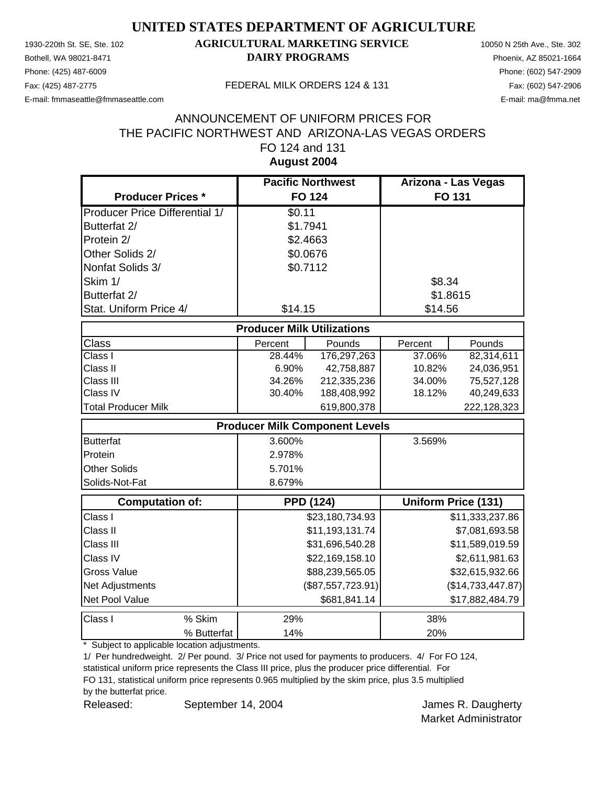Phone: (425) 487-6009 Phone: (602) 547-2909

### 1930-220th St. SE, Ste. 102 **AGRICULTURAL MARKETING SERVICE** 10050 N 25th Ave., Ste. 302 Bothell, WA 98021-8471 **DAIRY PROGRAMS** Phoenix, AZ 85021-1664

E-mail: fmmaseattle@fmmaseattle.com E-mail: ma@fmma.net

#### Fax: (425) 487-2775 FEDERAL MILK ORDERS 124 & 131

#### **August 2004** ANNOUNCEMENT OF UNIFORM PRICES FOR THE PACIFIC NORTHWEST AND ARIZONA-LAS VEGAS ORDERS FO 124 and 131

|                                       | <b>Pacific Northwest</b>              |                   | Arizona - Las Vegas |                            |
|---------------------------------------|---------------------------------------|-------------------|---------------------|----------------------------|
| <b>Producer Prices *</b>              | <b>FO 124</b>                         |                   |                     | <b>FO 131</b>              |
| <b>Producer Price Differential 1/</b> | \$0.11                                |                   |                     |                            |
| Butterfat 2/                          | \$1.7941                              |                   |                     |                            |
| Protein 2/                            | \$2.4663                              |                   |                     |                            |
| Other Solids 2/                       | \$0.0676                              |                   |                     |                            |
| Nonfat Solids 3/                      | \$0.7112                              |                   |                     |                            |
| Skim 1/                               |                                       |                   | \$8.34              |                            |
| Butterfat 2/                          |                                       |                   | \$1.8615            |                            |
| Stat. Uniform Price 4/                | \$14.15                               |                   | \$14.56             |                            |
|                                       | <b>Producer Milk Utilizations</b>     |                   |                     |                            |
| <b>Class</b>                          | Percent                               | Pounds            | Percent             | Pounds                     |
| Class I                               | 28.44%                                | 176,297,263       | 37.06%              | 82,314,611                 |
| Class II                              | 6.90%                                 | 42,758,887        | 10.82%              | 24,036,951                 |
| Class III                             | 34.26%                                | 212,335,236       | 34.00%              | 75,527,128                 |
| Class IV                              | 30.40%                                | 188,408,992       | 18.12%              | 40,249,633                 |
| <b>Total Producer Milk</b>            |                                       | 619,800,378       |                     | 222,128,323                |
|                                       | <b>Producer Milk Component Levels</b> |                   |                     |                            |
| <b>Butterfat</b>                      | 3.600%                                |                   | 3.569%              |                            |
| Protein                               | 2.978%                                |                   |                     |                            |
| <b>Other Solids</b>                   | 5.701%                                |                   |                     |                            |
| Solids-Not-Fat                        | 8.679%                                |                   |                     |                            |
| <b>Computation of:</b>                | <b>PPD (124)</b>                      |                   |                     | <b>Uniform Price (131)</b> |
| Class I                               |                                       | \$23,180,734.93   |                     | \$11,333,237.86            |
| Class II                              |                                       | \$11,193,131.74   |                     | \$7,081,693.58             |
| Class III                             |                                       | \$31,696,540.28   |                     | \$11,589,019.59            |
| Class IV                              |                                       | \$22,169,158.10   |                     | \$2,611,981.63             |
| <b>Gross Value</b>                    |                                       | \$88,239,565.05   |                     | \$32,615,932.66            |
| Net Adjustments                       |                                       | (\$87,557,723.91) |                     | (\$14,733,447.87)          |
| Net Pool Value                        |                                       | \$681,841.14      |                     | \$17,882,484.79            |
| Class I<br>% Skim                     | 29%                                   |                   | 38%                 |                            |
| % Butterfat                           | 14%                                   |                   | 20%                 |                            |

\* Subject to applicable location adjustments.

1/ Per hundredweight. 2/ Per pound. 3/ Price not used for payments to producers. 4/ For FO 124, statistical uniform price represents the Class III price, plus the producer price differential. For

FO 131, statistical uniform price represents 0.965 multiplied by the skim price, plus 3.5 multiplied

by the butterfat price.

Released: September 14, 2004 **James R. Daugherty** September 14, 2004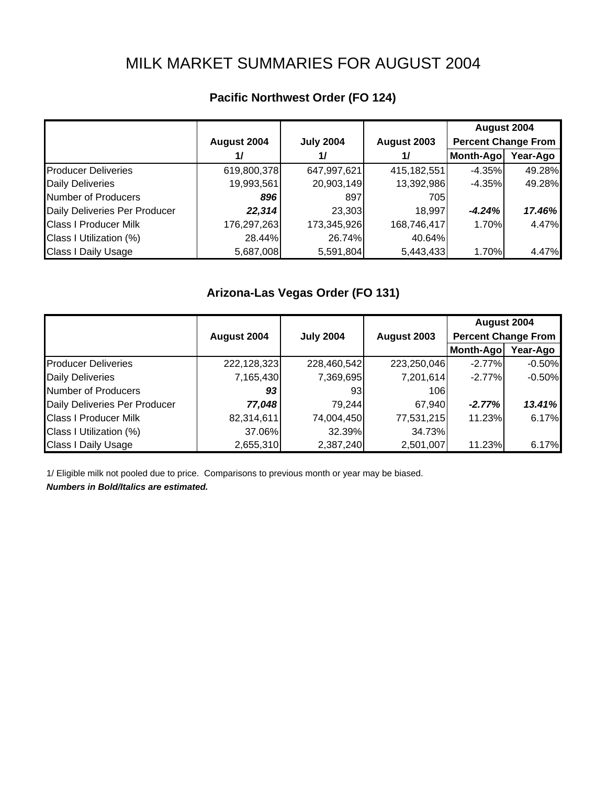# MILK MARKET SUMMARIES FOR AUGUST 2004

|                               |             |                  |             | August 2004                |          |
|-------------------------------|-------------|------------------|-------------|----------------------------|----------|
|                               | August 2004 | <b>July 2004</b> | August 2003 | <b>Percent Change From</b> |          |
|                               | 1/          | 1/               | 1/          | Month-Ago                  | Year-Ago |
| <b>Producer Deliveries</b>    | 619,800,378 | 647,997,621      | 415,182,551 | $-4.35%$                   | 49.28%   |
| <b>Daily Deliveries</b>       | 19,993,561  | 20,903,149       | 13,392,986  | $-4.35%$                   | 49.28%   |
| Number of Producers           | 896         | 897              | 705         |                            |          |
| Daily Deliveries Per Producer | 22,314      | 23,303           | 18,997      | $-4.24%$                   | 17.46%   |
| <b>Class I Producer Milk</b>  | 176,297,263 | 173,345,926      | 168,746,417 | 1.70%                      | 4.47%    |
| Class I Utilization (%)       | 28.44%      | 26.74%           | 40.64%      |                            |          |
| <b>Class I Daily Usage</b>    | 5,687,008   | 5,591,804        | 5,443,433   | 1.70%                      | 4.47%    |

# **Pacific Northwest Order (FO 124)**

### **Arizona-Las Vegas Order (FO 131)**

|                               |             |                  |             | August 2004                |          |
|-------------------------------|-------------|------------------|-------------|----------------------------|----------|
|                               | August 2004 | <b>July 2004</b> | August 2003 | <b>Percent Change From</b> |          |
|                               |             |                  |             | Month-Ago                  | Year-Ago |
| <b>Producer Deliveries</b>    | 222,128,323 | 228,460,542      | 223,250,046 | $-2.77%$                   | $-0.50%$ |
| <b>Daily Deliveries</b>       | 7,165,430   | 7,369,695        | 7,201,614   | $-2.77%$                   | $-0.50%$ |
| Number of Producers           | 93          | 931              | 106         |                            |          |
| Daily Deliveries Per Producer | 77,048      | 79,244           | 67,940      | $-2.77%$                   | 13.41%   |
| <b>Class I Producer Milk</b>  | 82,314,611  | 74,004,450       | 77,531,215  | 11.23%                     | 6.17%    |
| Class I Utilization (%)       | 37.06%      | 32.39%           | 34.73%      |                            |          |
| <b>Class I Daily Usage</b>    | 2,655,310   | 2,387,240        | 2,501,007   | 11.23%                     | 6.17%    |

1/ Eligible milk not pooled due to price. Comparisons to previous month or year may be biased.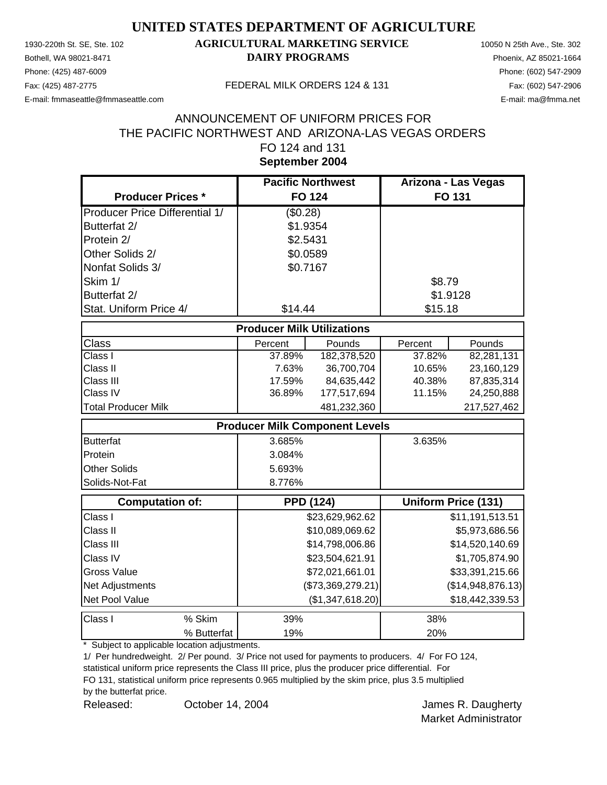Phone: (425) 487-6009 Phone: (602) 547-2909

### 1930-220th St. SE, Ste. 102 **AGRICULTURAL MARKETING SERVICE** 10050 N 25th Ave., Ste. 302 Bothell, WA 98021-8471 **DAIRY PROGRAMS** Phoenix, AZ 85021-1664

E-mail: fmmaseattle@fmmaseattle.com E-mail: ma@fmma.net

#### Fax: (425) 487-2775 FEDERAL MILK ORDERS 124 & 131

#### **September 2004** ANNOUNCEMENT OF UNIFORM PRICES FOR THE PACIFIC NORTHWEST AND ARIZONA-LAS VEGAS ORDERS FO 124 and 131

|                                       | <b>Pacific Northwest</b>          |                                       | Arizona - Las Vegas |                            |
|---------------------------------------|-----------------------------------|---------------------------------------|---------------------|----------------------------|
| <b>Producer Prices *</b>              | <b>FO 124</b>                     |                                       |                     | FO 131                     |
| <b>Producer Price Differential 1/</b> | (\$0.28)                          |                                       |                     |                            |
| Butterfat 2/                          | \$1.9354                          |                                       |                     |                            |
| Protein 2/                            | \$2.5431                          |                                       |                     |                            |
| Other Solids 2/                       | \$0.0589                          |                                       |                     |                            |
| Nonfat Solids 3/                      | \$0.7167                          |                                       |                     |                            |
| Skim 1/                               |                                   |                                       | \$8.79              |                            |
| Butterfat 2/                          |                                   |                                       | \$1.9128            |                            |
| Stat. Uniform Price 4/                | \$14.44                           |                                       | \$15.18             |                            |
|                                       | <b>Producer Milk Utilizations</b> |                                       |                     |                            |
| Class                                 | Percent                           | Pounds                                | Percent             | Pounds                     |
| Class I                               | 37.89%                            | 182,378,520                           | 37.82%              | 82,281,131                 |
| Class II                              | 7.63%                             | 36,700,704                            | 10.65%              | 23,160,129                 |
| Class III                             | 17.59%                            | 84,635,442                            | 40.38%              | 87,835,314                 |
| Class IV                              | 36.89%                            | 177,517,694                           | 11.15%              | 24,250,888                 |
| <b>Total Producer Milk</b>            |                                   | 481,232,360                           |                     | 217,527,462                |
|                                       |                                   | <b>Producer Milk Component Levels</b> |                     |                            |
| <b>Butterfat</b>                      | 3.685%                            |                                       | 3.635%              |                            |
| Protein                               | 3.084%                            |                                       |                     |                            |
| <b>Other Solids</b>                   | 5.693%                            |                                       |                     |                            |
| Solids-Not-Fat                        | 8.776%                            |                                       |                     |                            |
| <b>Computation of:</b>                |                                   | <b>PPD (124)</b>                      |                     | <b>Uniform Price (131)</b> |
| Class I                               |                                   | \$23,629,962.62                       |                     | \$11,191,513.51            |
| Class II                              |                                   | \$10,089,069.62                       |                     | \$5,973,686.56             |
| Class III                             |                                   | \$14,798,006.86                       |                     | \$14,520,140.69            |
| Class IV                              |                                   | \$23,504,621.91                       |                     | \$1,705,874.90             |
| <b>Gross Value</b>                    |                                   | \$72,021,661.01                       |                     | \$33,391,215.66            |
| Net Adjustments                       |                                   | (\$73,369,279.21)                     |                     | (\$14,948,876.13)          |
| Net Pool Value                        |                                   | (\$1,347,618.20)                      |                     | \$18,442,339.53            |
| Class I<br>% Skim                     | 39%                               |                                       | 38%                 |                            |
| % Butterfat                           | 19%                               |                                       | 20%                 |                            |

\* Subject to applicable location adjustments.

1/ Per hundredweight. 2/ Per pound. 3/ Price not used for payments to producers. 4/ For FO 124, statistical uniform price represents the Class III price, plus the producer price differential. For

FO 131, statistical uniform price represents 0.965 multiplied by the skim price, plus 3.5 multiplied

by the butterfat price.

Released: Corober 14, 2004 Corolean Marine St. Daugherty October 14, 2004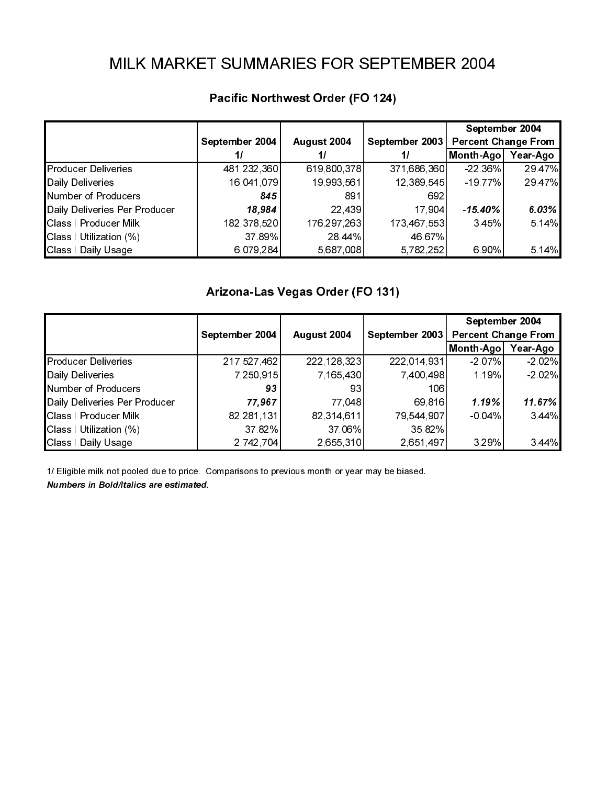|                                                         | September 2004        | August 2004                      | September 2003        | September 2004<br><b>Percent Change From</b>                       |                 |
|---------------------------------------------------------|-----------------------|----------------------------------|-----------------------|--------------------------------------------------------------------|-----------------|
| <b>Producer Deliveries</b>                              | 11<br>481,232,360     | 11<br>619,800,378                | 11<br>371,686,360     | Month-Ago Year-Ago<br>22 36%                                       | 29 47%          |
| Daily Deliveries                                        | 16,041,079            | 19,993,561                       | 12,389,545            | $-1977%$                                                           | 29 47%          |
| Number of Producers<br>Daily Deliveries Per Producer    | 845<br>18,984         | 891<br>22,439                    | 692<br>17,904         | $-15.40%$                                                          | 6.03%           |
| <b>Class I Producer Milk</b><br>Class I Utilization (%) | 182,378,520<br>37.89% | 176,297,263<br>28.44%            | 173,467,553<br>46.67% | 3.45%                                                              | 5 14%           |
| Class I Daily Usage                                     | 6,079,284             | 5,687,008                        | 5,782,252             | 6 90%                                                              | 5 14%           |
|                                                         |                       | Arizona-Las Vegas Order (FO 131) |                       |                                                                    |                 |
|                                                         | September 2004        | August 2004                      | September 2003        | September 2004<br><b>Percent Change From</b><br>Month-Ago Year-Ago |                 |
| <b>Producer Deliveries</b>                              | 217,527,462           | 222, 128, 323                    | 222,014,931           | $-207%$                                                            | $-202%$         |
| Daily Deliveries<br>Number of Producers                 | 7,250,915<br>93       | 7,165,430<br>93                  | 7,400,498<br>106      | 1.19%                                                              | $-202%$         |
| Daily Deliveries Per Producer<br>Class I Producer Milk  | 77,967<br>82,281,131  | 77,048<br>82,314,611             | 69,816<br>79,544,907  | 1.19%<br>$-0.04%$                                                  | 11.67%<br>3.44% |
| Class I Utilization (%)<br>Class I Daily Usage          | 37 82%<br>2,742,704   | 37.06%<br>2,655,310              | 35.82%<br>2,651,497   | 3.29%                                                              | 3 4 4%          |
|                                                         |                       |                                  |                       |                                                                    |                 |
|                                                         |                       |                                  |                       |                                                                    |                 |
|                                                         |                       |                                  |                       |                                                                    |                 |
|                                                         |                       |                                  |                       |                                                                    |                 |
|                                                         |                       |                                  |                       |                                                                    |                 |
|                                                         |                       |                                  |                       |                                                                    |                 |
|                                                         |                       |                                  |                       |                                                                    |                 |
|                                                         |                       |                                  |                       |                                                                    |                 |
|                                                         |                       |                                  |                       |                                                                    |                 |
|                                                         |                       |                                  |                       |                                                                    |                 |
|                                                         |                       |                                  |                       |                                                                    |                 |
|                                                         |                       |                                  |                       |                                                                    |                 |
|                                                         |                       |                                  |                       |                                                                    |                 |
|                                                         |                       |                                  |                       |                                                                    |                 |
|                                                         |                       |                                  |                       |                                                                    |                 |
|                                                         |                       |                                  |                       |                                                                    |                 |
|                                                         |                       |                                  |                       |                                                                    |                 |
|                                                         |                       |                                  |                       |                                                                    |                 |
|                                                         |                       |                                  |                       |                                                                    |                 |
|                                                         |                       |                                  |                       |                                                                    |                 |
|                                                         |                       |                                  |                       |                                                                    |                 |
|                                                         |                       |                                  |                       |                                                                    |                 |
|                                                         |                       |                                  |                       |                                                                    |                 |
|                                                         |                       |                                  |                       |                                                                    |                 |
|                                                         |                       |                                  |                       |                                                                    |                 |
|                                                         |                       |                                  |                       |                                                                    |                 |
|                                                         |                       |                                  |                       |                                                                    |                 |
|                                                         |                       |                                  |                       |                                                                    |                 |
|                                                         |                       |                                  |                       |                                                                    |                 |
|                                                         |                       |                                  |                       |                                                                    |                 |
|                                                         |                       |                                  |                       |                                                                    |                 |

## Pacific Northwest Order (FO 124)

# Arizona-Las Vegas Order (FO 131)

| Daily Deliveries                                                                                                      | $\mathcal{F}$ and $\mathcal{F}$<br>16,041,079 | $\mathcal{L}$ and $\mathcal{L}$<br>19,993,561 | 12,389,545                         | $-19.77%$                                                    | 29.47%           |  |  |  |
|-----------------------------------------------------------------------------------------------------------------------|-----------------------------------------------|-----------------------------------------------|------------------------------------|--------------------------------------------------------------|------------------|--|--|--|
| Number of Producers<br>Daily Deliveries Per Producer                                                                  | 845<br>18,984                                 | 891<br>22,439                                 | 692<br>17,904                      | $-15.40%$                                                    | 6.03%            |  |  |  |
| Class   Producer Milk<br>Class I Utilization (%)<br>Class I Daily Usage                                               | 182,378,520<br>37 89%<br>6,079,284            | 176,297,263<br>28.44%<br>5,687,008            | 173,467,553<br>46.67%<br>5,782,252 | 3 45%<br>6 90%                                               | 5 14%<br>5.14%   |  |  |  |
|                                                                                                                       |                                               |                                               |                                    |                                                              |                  |  |  |  |
| Arizona-Las Vegas Order (FO 131)<br>September 2004                                                                    |                                               |                                               |                                    |                                                              |                  |  |  |  |
| <b>Producer Deliveries</b>                                                                                            | September 2004<br>217,527,462                 | August 2004<br>222, 128, 323                  | September 2003<br>222,014,931      | <b>Percent Change From</b><br>Month-Ago Year-Ago<br>$-2.07%$ | $-202%$          |  |  |  |
| Daily Deliveries<br>Number of Producers                                                                               | 7,250,915<br>93                               | 7,165,430<br>93                               | 7,400,498<br>106                   | 1 19%                                                        | $-202%$          |  |  |  |
| Daily Deliveries Per Producer<br>Class   Producer Milk<br>Class I Utilization (%)                                     | 77,967<br>82,281,131<br>37.82%                | 77,048<br>82,314,611<br>37 06%                | 69,816<br>79,544,907<br>35.82%     | 1.19%<br>$-0.04%$                                            | 11.67%<br>3 4 4% |  |  |  |
| Class I Daily Usage<br>1/ Eligible milk not pooled due to price. Comparisons to previous month or year may be biased. | 2,742,704                                     | 2,655,310                                     | 2,651,497                          | 3 2 9 %                                                      | 3.44%            |  |  |  |
| Numbers in Bold/Italics are estimated.                                                                                |                                               |                                               |                                    |                                                              |                  |  |  |  |
|                                                                                                                       |                                               |                                               |                                    |                                                              |                  |  |  |  |
|                                                                                                                       |                                               |                                               |                                    |                                                              |                  |  |  |  |
|                                                                                                                       |                                               |                                               |                                    |                                                              |                  |  |  |  |
|                                                                                                                       |                                               |                                               |                                    |                                                              |                  |  |  |  |
|                                                                                                                       |                                               |                                               |                                    |                                                              |                  |  |  |  |
|                                                                                                                       |                                               |                                               |                                    |                                                              |                  |  |  |  |
|                                                                                                                       |                                               |                                               |                                    |                                                              |                  |  |  |  |
|                                                                                                                       |                                               |                                               |                                    |                                                              |                  |  |  |  |
|                                                                                                                       |                                               |                                               |                                    |                                                              |                  |  |  |  |
|                                                                                                                       |                                               |                                               |                                    |                                                              |                  |  |  |  |
|                                                                                                                       |                                               |                                               |                                    |                                                              |                  |  |  |  |
|                                                                                                                       |                                               |                                               |                                    |                                                              |                  |  |  |  |
|                                                                                                                       |                                               |                                               |                                    |                                                              |                  |  |  |  |
|                                                                                                                       |                                               |                                               |                                    |                                                              |                  |  |  |  |
|                                                                                                                       |                                               |                                               |                                    |                                                              |                  |  |  |  |
|                                                                                                                       |                                               |                                               |                                    |                                                              |                  |  |  |  |
|                                                                                                                       |                                               |                                               |                                    |                                                              |                  |  |  |  |
|                                                                                                                       |                                               |                                               |                                    |                                                              |                  |  |  |  |
|                                                                                                                       |                                               |                                               |                                    |                                                              |                  |  |  |  |
|                                                                                                                       |                                               |                                               |                                    |                                                              |                  |  |  |  |
|                                                                                                                       |                                               |                                               |                                    |                                                              |                  |  |  |  |
|                                                                                                                       |                                               |                                               |                                    |                                                              |                  |  |  |  |
|                                                                                                                       |                                               |                                               |                                    |                                                              |                  |  |  |  |
|                                                                                                                       |                                               |                                               |                                    |                                                              |                  |  |  |  |
|                                                                                                                       |                                               |                                               |                                    |                                                              |                  |  |  |  |
|                                                                                                                       |                                               |                                               |                                    |                                                              |                  |  |  |  |
|                                                                                                                       |                                               |                                               |                                    |                                                              |                  |  |  |  |
|                                                                                                                       |                                               |                                               |                                    |                                                              |                  |  |  |  |
|                                                                                                                       |                                               |                                               |                                    |                                                              |                  |  |  |  |
|                                                                                                                       |                                               |                                               |                                    |                                                              |                  |  |  |  |
|                                                                                                                       |                                               |                                               |                                    |                                                              |                  |  |  |  |
|                                                                                                                       |                                               |                                               |                                    |                                                              |                  |  |  |  |
|                                                                                                                       |                                               |                                               |                                    |                                                              |                  |  |  |  |
|                                                                                                                       |                                               |                                               |                                    |                                                              |                  |  |  |  |
|                                                                                                                       |                                               |                                               |                                    |                                                              |                  |  |  |  |
|                                                                                                                       |                                               |                                               |                                    |                                                              |                  |  |  |  |
|                                                                                                                       |                                               |                                               |                                    |                                                              |                  |  |  |  |
|                                                                                                                       |                                               |                                               |                                    |                                                              |                  |  |  |  |
|                                                                                                                       |                                               |                                               |                                    |                                                              |                  |  |  |  |
|                                                                                                                       |                                               |                                               |                                    |                                                              |                  |  |  |  |
|                                                                                                                       |                                               |                                               |                                    |                                                              |                  |  |  |  |
|                                                                                                                       |                                               |                                               |                                    |                                                              |                  |  |  |  |
|                                                                                                                       |                                               |                                               |                                    |                                                              |                  |  |  |  |
|                                                                                                                       |                                               |                                               |                                    |                                                              |                  |  |  |  |
|                                                                                                                       |                                               |                                               |                                    |                                                              |                  |  |  |  |
|                                                                                                                       |                                               |                                               |                                    |                                                              |                  |  |  |  |
|                                                                                                                       |                                               |                                               |                                    |                                                              |                  |  |  |  |
|                                                                                                                       |                                               |                                               |                                    |                                                              |                  |  |  |  |
|                                                                                                                       |                                               |                                               |                                    |                                                              |                  |  |  |  |
|                                                                                                                       |                                               |                                               |                                    |                                                              |                  |  |  |  |
|                                                                                                                       |                                               |                                               |                                    |                                                              |                  |  |  |  |
|                                                                                                                       |                                               |                                               |                                    |                                                              |                  |  |  |  |
|                                                                                                                       |                                               |                                               |                                    |                                                              |                  |  |  |  |
|                                                                                                                       |                                               |                                               |                                    |                                                              |                  |  |  |  |
|                                                                                                                       |                                               |                                               |                                    |                                                              |                  |  |  |  |
|                                                                                                                       |                                               |                                               |                                    |                                                              |                  |  |  |  |
|                                                                                                                       |                                               |                                               |                                    |                                                              |                  |  |  |  |
|                                                                                                                       |                                               |                                               |                                    |                                                              |                  |  |  |  |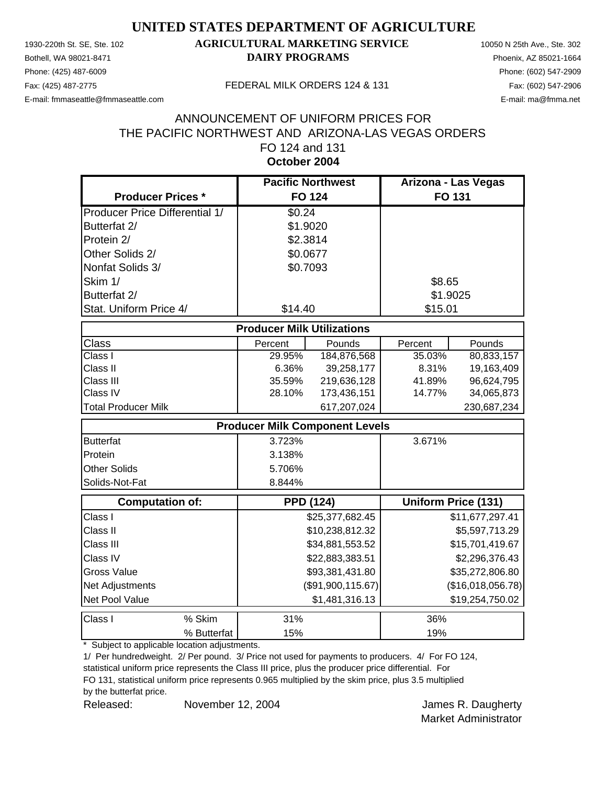Phone: (425) 487-6009 Phone: (602) 547-2909

#### 1930-220th St. SE, Ste. 102 **AGRICULTURAL MARKETING SERVICE** 10050 N 25th Ave., Ste. 302 Bothell, WA 98021-8471 **DAIRY PROGRAMS** Phoenix, AZ 85021-1664

E-mail: fmmaseattle@fmmaseattle.com E-mail: ma@fmma.net

#### Fax: (425) 487-2775 FEDERAL MILK ORDERS 124 & 131

#### **October 2004** ANNOUNCEMENT OF UNIFORM PRICES FOR THE PACIFIC NORTHWEST AND ARIZONA-LAS VEGAS ORDERS FO 124 and 131

|                                       | <b>Pacific Northwest</b>          |                                       | Arizona - Las Vegas |                            |
|---------------------------------------|-----------------------------------|---------------------------------------|---------------------|----------------------------|
| <b>Producer Prices *</b>              | <b>FO 124</b>                     |                                       |                     | FO 131                     |
| <b>Producer Price Differential 1/</b> | \$0.24                            |                                       |                     |                            |
| Butterfat 2/                          | \$1.9020                          |                                       |                     |                            |
| Protein 2/                            | \$2.3814                          |                                       |                     |                            |
| Other Solids 2/                       | \$0.0677                          |                                       |                     |                            |
| Nonfat Solids 3/                      | \$0.7093                          |                                       |                     |                            |
| Skim 1/                               |                                   |                                       | \$8.65              |                            |
| Butterfat 2/                          |                                   |                                       | \$1.9025            |                            |
| Stat. Uniform Price 4/                | \$14.40                           |                                       | \$15.01             |                            |
|                                       | <b>Producer Milk Utilizations</b> |                                       |                     |                            |
| <b>Class</b>                          | Percent                           | Pounds                                | Percent             | Pounds                     |
| Class I                               | 29.95%                            | 184,876,568                           | 35.03%              | 80,833,157                 |
| Class II                              | 6.36%                             | 39,258,177                            | 8.31%               | 19,163,409                 |
| Class III                             | 35.59%                            | 219,636,128                           | 41.89%              | 96,624,795                 |
| Class IV                              | 28.10%                            | 173,436,151                           | 14.77%              | 34,065,873                 |
| <b>Total Producer Milk</b>            |                                   | 617,207,024                           |                     | 230,687,234                |
|                                       |                                   | <b>Producer Milk Component Levels</b> |                     |                            |
| <b>Butterfat</b>                      | 3.723%                            |                                       | 3.671%              |                            |
| Protein                               | 3.138%                            |                                       |                     |                            |
| <b>Other Solids</b>                   | 5.706%                            |                                       |                     |                            |
| Solids-Not-Fat                        | 8.844%                            |                                       |                     |                            |
| <b>Computation of:</b>                |                                   | <b>PPD (124)</b>                      |                     | <b>Uniform Price (131)</b> |
| Class I                               |                                   | \$25,377,682.45                       |                     | \$11,677,297.41            |
| Class II                              |                                   | \$10,238,812.32                       |                     | \$5,597,713.29             |
| Class III                             |                                   | \$34,881,553.52                       |                     | \$15,701,419.67            |
| Class IV                              |                                   | \$22,883,383.51                       |                     | \$2,296,376.43             |
| <b>Gross Value</b>                    |                                   | \$93,381,431.80                       |                     | \$35,272,806.80            |
| Net Adjustments                       |                                   | (\$91,900,115.67)                     |                     | (\$16,018,056.78)          |
| Net Pool Value                        |                                   | \$1,481,316.13                        |                     | \$19,254,750.02            |
| Class I<br>% Skim                     | 31%                               |                                       | 36%                 |                            |
| % Butterfat                           | 15%                               |                                       | 19%                 |                            |

\* Subject to applicable location adjustments.

1/ Per hundredweight. 2/ Per pound. 3/ Price not used for payments to producers. 4/ For FO 124, statistical uniform price represents the Class III price, plus the producer price differential. For

FO 131, statistical uniform price represents 0.965 multiplied by the skim price, plus 3.5 multiplied

by the butterfat price.

Released: November 12, 2004 **James R. Daugherty** November 12, 2004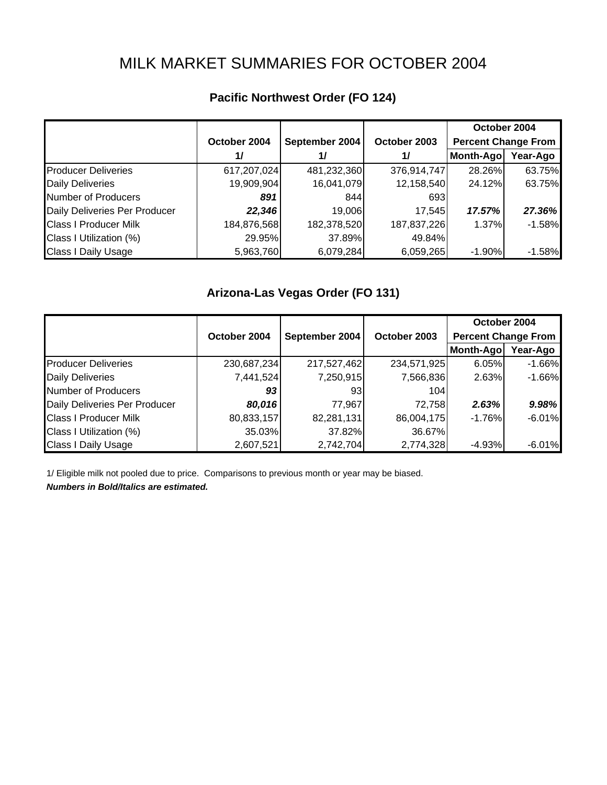# MILK MARKET SUMMARIES FOR OCTOBER 2004

|                               |              |                |              | October 2004               |          |
|-------------------------------|--------------|----------------|--------------|----------------------------|----------|
|                               | October 2004 | September 2004 | October 2003 | <b>Percent Change From</b> |          |
|                               | 1/           | 1/             | 1/           | Month-Ago                  | Year-Ago |
| <b>Producer Deliveries</b>    | 617,207,024  | 481,232,360    | 376,914,747  | 28.26%                     | 63.75%   |
| <b>Daily Deliveries</b>       | 19,909,904   | 16,041,079     | 12,158,540   | 24.12%                     | 63.75%   |
| <b>Number of Producers</b>    | 891          | 844            | 693          |                            |          |
| Daily Deliveries Per Producer | 22,346       | 19,006         | 17.545       | 17.57%                     | 27.36%   |
| <b>Class I Producer Milk</b>  | 184,876,568  | 182,378,520    | 187,837,226  | 1.37%                      | $-1.58%$ |
| Class I Utilization (%)       | 29.95%       | 37.89%         | 49.84%       |                            |          |
| <b>Class I Daily Usage</b>    | 5,963,760    | 6,079,284      | 6,059,265    | $-1.90\%$                  | $-1.58%$ |

# **Pacific Northwest Order (FO 124)**

## **Arizona-Las Vegas Order (FO 131)**

|                               |              |                |              | October 2004               |          |
|-------------------------------|--------------|----------------|--------------|----------------------------|----------|
|                               | October 2004 | September 2004 | October 2003 | <b>Percent Change From</b> |          |
|                               |              |                |              | Month-Ago                  | Year-Ago |
| <b>Producer Deliveries</b>    | 230,687,234  | 217,527,462    | 234,571,925  | 6.05%                      | $-1.66%$ |
| <b>Daily Deliveries</b>       | 7,441,524    | 7,250,915      | 7,566,836    | 2.63%                      | $-1.66%$ |
| Number of Producers           | 93           | 931            | 104          |                            |          |
| Daily Deliveries Per Producer | 80,016       | 77,967         | 72,758       | 2.63%                      | 9.98%    |
| <b>Class I Producer Milk</b>  | 80,833,157   | 82,281,131     | 86,004,175   | $-1.76%$                   | $-6.01%$ |
| Class I Utilization (%)       | 35.03%       | 37.82%         | 36.67%       |                            |          |
| <b>Class I Daily Usage</b>    | 2,607,521    | 2,742,704      | 2,774,328    | -4.93%                     | $-6.01%$ |

1/ Eligible milk not pooled due to price. Comparisons to previous month or year may be biased.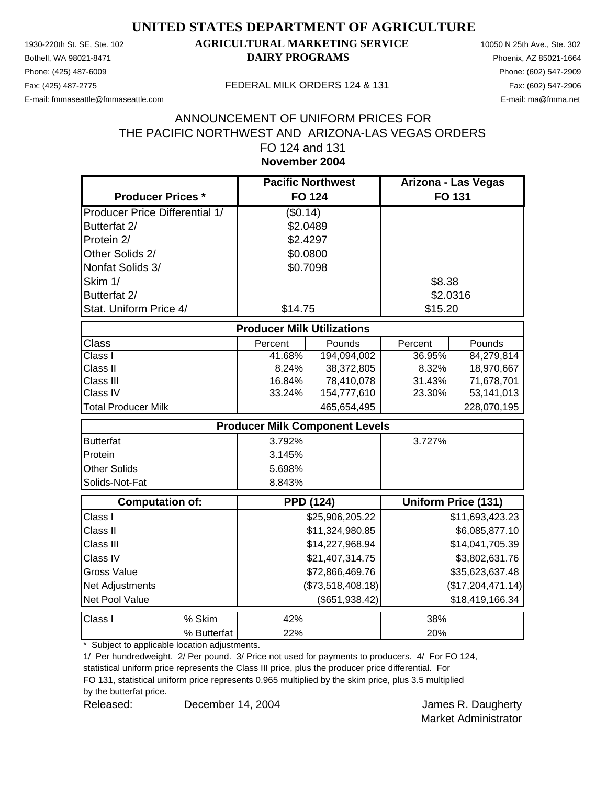Phone: (425) 487-6009 Phone: (602) 547-2909

### 1930-220th St. SE, Ste. 102 **AGRICULTURAL MARKETING SERVICE** 10050 N 25th Ave., Ste. 302 Bothell, WA 98021-8471 **DAIRY PROGRAMS** Phoenix, AZ 85021-1664

E-mail: fmmaseattle@fmmaseattle.com E-mail: ma@fmma.net

#### Fax: (425) 487-2775 FEDERAL MILK ORDERS 124 & 131

#### **November 2004** ANNOUNCEMENT OF UNIFORM PRICES FOR THE PACIFIC NORTHWEST AND ARIZONA-LAS VEGAS ORDERS FO 124 and 131

|                                       | <b>Pacific Northwest</b>          |                                       | Arizona - Las Vegas |                            |
|---------------------------------------|-----------------------------------|---------------------------------------|---------------------|----------------------------|
| <b>Producer Prices *</b>              |                                   | <b>FO 124</b>                         |                     | FO 131                     |
| <b>Producer Price Differential 1/</b> | (\$0.14)                          |                                       |                     |                            |
| Butterfat 2/                          | \$2.0489                          |                                       |                     |                            |
| Protein 2/                            | \$2.4297                          |                                       |                     |                            |
| Other Solids 2/                       | \$0.0800                          |                                       |                     |                            |
| Nonfat Solids 3/                      | \$0.7098                          |                                       |                     |                            |
| Skim 1/                               |                                   |                                       | \$8.38              |                            |
| Butterfat 2/                          |                                   |                                       | \$2.0316            |                            |
| Stat. Uniform Price 4/                | \$14.75                           |                                       | \$15.20             |                            |
|                                       | <b>Producer Milk Utilizations</b> |                                       |                     |                            |
| Class                                 | Percent                           | Pounds                                | Percent             | Pounds                     |
| Class I                               | 41.68%                            | 194,094,002                           | 36.95%              | 84,279,814                 |
| Class II                              | 8.24%                             | 38,372,805                            | 8.32%               | 18,970,667                 |
| Class III                             | 16.84%                            | 78,410,078                            | 31.43%              | 71,678,701                 |
| Class IV                              | 33.24%                            | 154,777,610                           | 23.30%              | 53,141,013                 |
| <b>Total Producer Milk</b>            |                                   | 465,654,495                           |                     | 228,070,195                |
|                                       |                                   | <b>Producer Milk Component Levels</b> |                     |                            |
| <b>Butterfat</b>                      | 3.792%                            |                                       | 3.727%              |                            |
| Protein                               | 3.145%                            |                                       |                     |                            |
| Other Solids                          | 5.698%                            |                                       |                     |                            |
| Solids-Not-Fat                        | 8.843%                            |                                       |                     |                            |
| <b>Computation of:</b>                |                                   | <b>PPD (124)</b>                      |                     | <b>Uniform Price (131)</b> |
| Class I                               |                                   | \$25,906,205.22                       |                     | \$11,693,423.23            |
| Class II                              |                                   | \$11,324,980.85                       |                     | \$6,085,877.10             |
| Class III                             |                                   | \$14,227,968.94                       |                     | \$14,041,705.39            |
| Class IV                              |                                   | \$21,407,314.75                       |                     | \$3,802,631.76             |
| <b>Gross Value</b>                    |                                   | \$72,866,469.76                       |                     | \$35,623,637.48            |
| Net Adjustments                       |                                   | (\$73,518,408.18)                     |                     | (\$17,204,471.14)          |
| Net Pool Value                        |                                   | (\$651,938.42)                        |                     | \$18,419,166.34            |
| Class I<br>% Skim                     | 42%                               |                                       | 38%                 |                            |
| % Butterfat                           | 22%                               |                                       | 20%                 |                            |

\* Subject to applicable location adjustments.

1/ Per hundredweight. 2/ Per pound. 3/ Price not used for payments to producers. 4/ For FO 124, statistical uniform price represents the Class III price, plus the producer price differential. For

FO 131, statistical uniform price represents 0.965 multiplied by the skim price, plus 3.5 multiplied

by the butterfat price.

Released: December 14, 2004 **James R. Daugherty** December 14, 2004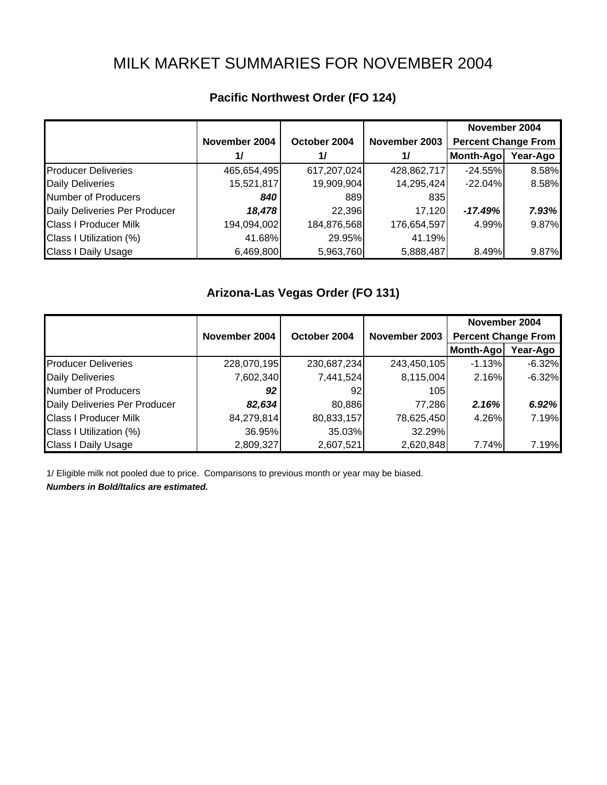# MILK MARKET SUMMARIES FOR NOVEMBER 2004

|                               |               |              |               | November 2004              |          |
|-------------------------------|---------------|--------------|---------------|----------------------------|----------|
|                               | November 2004 | October 2004 | November 2003 | <b>Percent Change From</b> |          |
|                               | 1/            | 1/           | $\frac{1}{2}$ | Month-Ago                  | Year-Ago |
| <b>Producer Deliveries</b>    | 465,654,495   | 617,207,024  | 428,862,717   | $-24.55%$                  | 8.58%    |
| <b>Daily Deliveries</b>       | 15,521,817    | 19,909,904   | 14,295,424    | $-22.04%$                  | 8.58%    |
| <b>Number of Producers</b>    | 840           | 889          | 835           |                            |          |
| Daily Deliveries Per Producer | 18,478        | 22,396       | 17,120        | $-17.49%$                  | 7.93%    |
| <b>Class I Producer Milk</b>  | 194,094,002   | 184,876,568  | 176,654,597   | 4.99%                      | 9.87%    |
| Class I Utilization (%)       | 41.68%        | 29.95%       | 41.19%        |                            |          |
| <b>Class I Daily Usage</b>    | 6,469,800     | 5,963,760    | 5,888,487     | 8.49%                      | 9.87%    |

# **Pacific Northwest Order (FO 124)**

### **Arizona-Las Vegas Order (FO 131)**

|                               |               |                               |             | November 2004              |          |
|-------------------------------|---------------|-------------------------------|-------------|----------------------------|----------|
|                               | November 2004 | November 2003<br>October 2004 |             | <b>Percent Change From</b> |          |
|                               |               |                               |             | Month-Ago                  | Year-Ago |
| <b>Producer Deliveries</b>    | 228,070,195   | 230,687,234                   | 243,450,105 | $-1.13%$                   | $-6.32%$ |
| <b>Daily Deliveries</b>       | 7,602,340     | 7,441,524                     | 8,115,004   | 2.16%                      | $-6.32%$ |
| Number of Producers           | 92            | 92                            | 105         |                            |          |
| Daily Deliveries Per Producer | 82,634        | 80,886                        | 77,286      | 2.16%                      | 6.92%    |
| <b>Class I Producer Milk</b>  | 84,279,814    | 80,833,157                    | 78,625,450  | 4.26%                      | 7.19%    |
| Class I Utilization (%)       | 36.95%        | 35.03%                        | 32.29%      |                            |          |
| <b>Class I Daily Usage</b>    | 2,809,327     | 2,607,521                     | 2,620,848   | 7.74%                      | 7.19%    |

1/ Eligible milk not pooled due to price. Comparisons to previous month or year may be biased.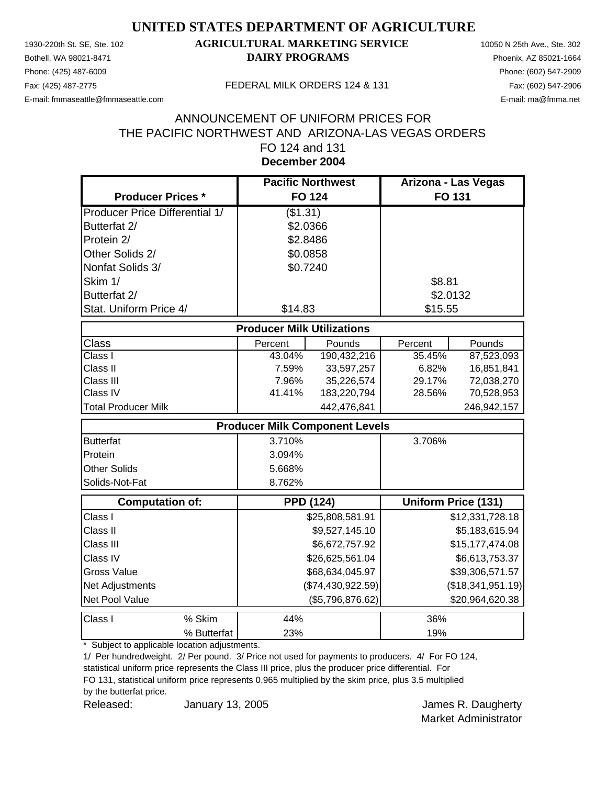Phone: (425) 487-6009 Phone: (602) 547-2909

### 1930-220th St. SE, Ste. 102 **AGRICULTURAL MARKETING SERVICE** 10050 N 25th Ave., Ste. 302 Bothell, WA 98021-8471 **DAIRY PROGRAMS** Phoenix, AZ 85021-1664

E-mail: fmmaseattle@fmmaseattle.com E-mail: ma@fmma.net

#### Fax: (425) 487-2775 FEDERAL MILK ORDERS 124 & 131

#### **December 2004** ANNOUNCEMENT OF UNIFORM PRICES FOR THE PACIFIC NORTHWEST AND ARIZONA-LAS VEGAS ORDERS FO 124 and 131

|                                       | <b>Pacific Northwest</b>              |                   |          | Arizona - Las Vegas        |
|---------------------------------------|---------------------------------------|-------------------|----------|----------------------------|
| <b>Producer Prices *</b>              | <b>FO 124</b>                         |                   |          | FO 131                     |
| <b>Producer Price Differential 1/</b> | (\$1.31)                              |                   |          |                            |
| Butterfat 2/                          | \$2.0366                              |                   |          |                            |
| Protein 2/                            | \$2.8486                              |                   |          |                            |
| Other Solids 2/                       | \$0.0858                              |                   |          |                            |
| Nonfat Solids 3/                      | \$0.7240                              |                   |          |                            |
| Skim 1/                               |                                       |                   | \$8.81   |                            |
| Butterfat 2/                          |                                       |                   | \$2.0132 |                            |
| Stat. Uniform Price 4/                | \$14.83                               |                   | \$15.55  |                            |
|                                       | <b>Producer Milk Utilizations</b>     |                   |          |                            |
| Class                                 | Percent                               | Pounds            | Percent  | Pounds                     |
| Class I                               | 43.04%                                | 190,432,216       | 35.45%   | 87,523,093                 |
| Class II                              | 7.59%                                 | 33,597,257        | 6.82%    | 16,851,841                 |
| Class III                             | 7.96%                                 | 35,226,574        | 29.17%   | 72,038,270                 |
| Class IV                              | 41.41%                                | 183,220,794       | 28.56%   | 70,528,953                 |
| <b>Total Producer Milk</b>            |                                       | 442,476,841       |          | 246,942,157                |
|                                       | <b>Producer Milk Component Levels</b> |                   |          |                            |
| <b>Butterfat</b>                      | 3.710%                                |                   | 3.706%   |                            |
| Protein                               | 3.094%                                |                   |          |                            |
| <b>Other Solids</b>                   | 5.668%                                |                   |          |                            |
| Solids-Not-Fat                        | 8.762%                                |                   |          |                            |
| Computation of:                       |                                       | <b>PPD (124)</b>  |          | <b>Uniform Price (131)</b> |
| Class I                               |                                       | \$25,808,581.91   |          | \$12,331,728.18            |
| Class II                              |                                       | \$9,527,145.10    |          | \$5,183,615.94             |
| Class III                             |                                       | \$6,672,757.92    |          | \$15,177,474.08            |
| Class IV                              |                                       | \$26,625,561.04   |          | \$6,613,753.37             |
| <b>Gross Value</b>                    |                                       | \$68,634,045.97   |          | \$39,306,571.57            |
| Net Adjustments                       |                                       | (\$74,430,922.59) |          | (\$18,341,951.19)          |
| Net Pool Value                        |                                       | (\$5,796,876.62)  |          | \$20,964,620.38            |
| Class I<br>% Skim                     | 44%                                   |                   | 36%      |                            |
| % Butterfat                           | 23%                                   |                   | 19%      |                            |

\* Subject to applicable location adjustments.

1/ Per hundredweight. 2/ Per pound. 3/ Price not used for payments to producers. 4/ For FO 124, statistical uniform price represents the Class III price, plus the producer price differential. For

FO 131, statistical uniform price represents 0.965 multiplied by the skim price, plus 3.5 multiplied

by the butterfat price.

Released: The January 13, 2005 Contract Manual Manual Media Section 1, 2005 January 13, 2005